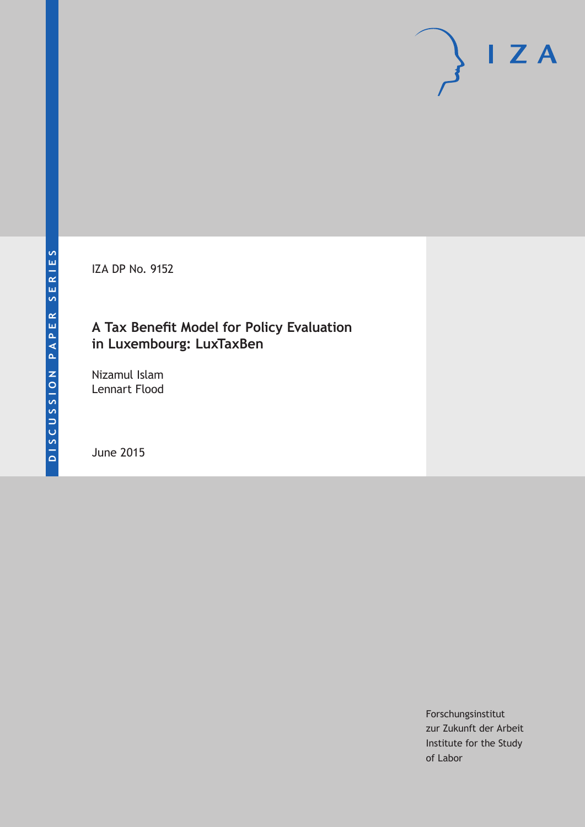IZA DP No. 9152

## **A Tax Benefit Model for Policy Evaluation in Luxembourg: LuxTaxBen**

Nizamul Islam Lennart Flood

June 2015

Forschungsinstitut zur Zukunft der Arbeit Institute for the Study of Labor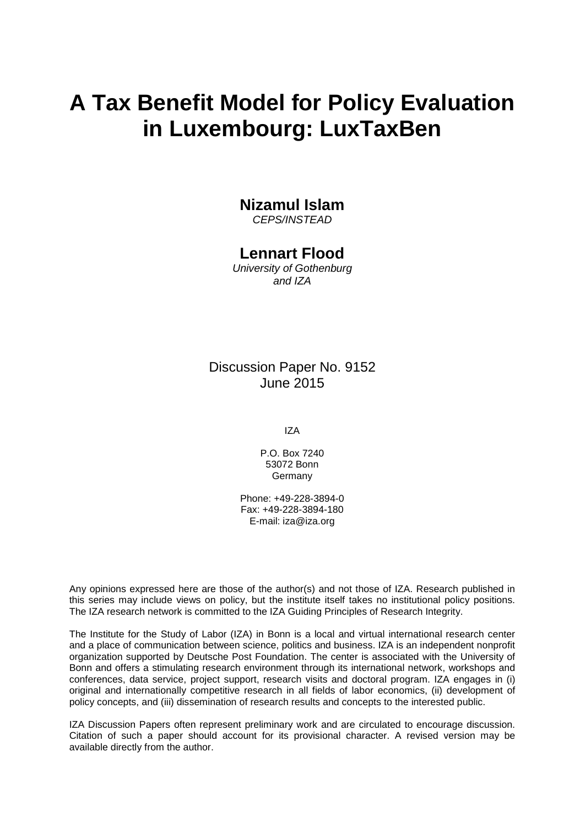# **A Tax Benefit Model for Policy Evaluation in Luxembourg: LuxTaxBen**

### **Nizamul Islam**

*CEPS/INSTEAD*

### **Lennart Flood**

*University of Gothenburg and IZA*

### Discussion Paper No. 9152 June 2015

IZA

P.O. Box 7240 53072 Bonn Germany

Phone: +49-228-3894-0 Fax: +49-228-3894-180 E-mail: iza@iza.org

Any opinions expressed here are those of the author(s) and not those of IZA. Research published in this series may include views on policy, but the institute itself takes no institutional policy positions. The IZA research network is committed to the IZA Guiding Principles of Research Integrity.

The Institute for the Study of Labor (IZA) in Bonn is a local and virtual international research center and a place of communication between science, politics and business. IZA is an independent nonprofit organization supported by Deutsche Post Foundation. The center is associated with the University of Bonn and offers a stimulating research environment through its international network, workshops and conferences, data service, project support, research visits and doctoral program. IZA engages in (i) original and internationally competitive research in all fields of labor economics, (ii) development of policy concepts, and (iii) dissemination of research results and concepts to the interested public.

IZA Discussion Papers often represent preliminary work and are circulated to encourage discussion. Citation of such a paper should account for its provisional character. A revised version may be available directly from the author.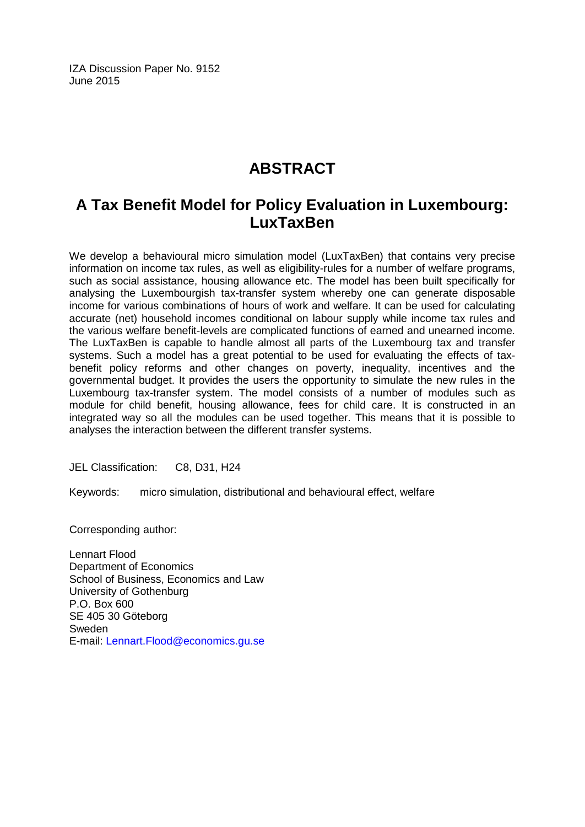IZA Discussion Paper No. 9152 June 2015

# **ABSTRACT**

# **A Tax Benefit Model for Policy Evaluation in Luxembourg: LuxTaxBen**

We develop a behavioural micro simulation model (LuxTaxBen) that contains very precise information on income tax rules, as well as eligibility-rules for a number of welfare programs, such as social assistance, housing allowance etc. The model has been built specifically for analysing the Luxembourgish tax-transfer system whereby one can generate disposable income for various combinations of hours of work and welfare. It can be used for calculating accurate (net) household incomes conditional on labour supply while income tax rules and the various welfare benefit-levels are complicated functions of earned and unearned income. The LuxTaxBen is capable to handle almost all parts of the Luxembourg tax and transfer systems. Such a model has a great potential to be used for evaluating the effects of taxbenefit policy reforms and other changes on poverty, inequality, incentives and the governmental budget. It provides the users the opportunity to simulate the new rules in the Luxembourg tax-transfer system. The model consists of a number of modules such as module for child benefit, housing allowance, fees for child care. It is constructed in an integrated way so all the modules can be used together. This means that it is possible to analyses the interaction between the different transfer systems.

JEL Classification: C8, D31, H24

Keywords: micro simulation, distributional and behavioural effect, welfare

Corresponding author:

Lennart Flood Department of Economics School of Business, Economics and Law University of Gothenburg P.O. Box 600 SE 405 30 Göteborg Sweden E-mail: [Lennart.Flood@economics.gu.se](mailto:Lennart.Flood@economics.gu.se)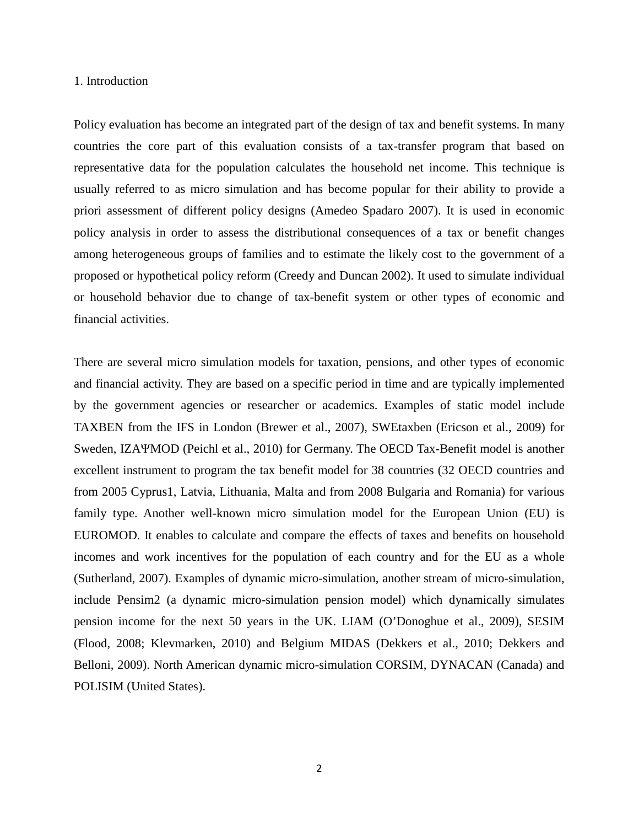#### 1. Introduction

Policy evaluation has become an integrated part of the design of tax and benefit systems. In many countries the core part of this evaluation consists of a tax-transfer program that based on representative data for the population calculates the household net income. This technique is usually referred to as micro simulation and has become popular for their ability to provide a priori assessment of different policy designs (Amedeo Spadaro 2007). It is used in economic policy analysis in order to assess the distributional consequences of a tax or benefit changes among heterogeneous groups of families and to estimate the likely cost to the government of a proposed or hypothetical policy reform (Creedy and Duncan 2002). It used to simulate individual or household behavior due to change of tax-benefit system or other types of economic and financial activities.

There are several micro simulation models for taxation, pensions, and other types of economic and financial activity. They are based on a specific period in time and are typically implemented by the government agencies or researcher or academics. Examples of static model include TAXBEN from the IFS in London (Brewer et al., 2007), SWEtaxben (Ericson et al., 2009) for Sweden, IZAΨMOD (Peichl et al., 2010) for Germany. The OECD Tax-Benefit model is another excellent instrument to program the tax benefit model for 38 countries (32 OECD countries and from 2005 Cyprus1, Latvia, Lithuania, Malta and from 2008 Bulgaria and Romania) for various family type. Another well-known micro simulation model for the European Union (EU) is EUROMOD. It enables to calculate and compare the effects of taxes and benefits on household incomes and work incentives for the population of each country and for the EU as a whole (Sutherland, 2007). Examples of dynamic micro-simulation, another stream of micro-simulation, include Pensim2 (a dynamic micro-simulation pension model) which dynamically simulates pension income for the next 50 years in the UK. LIAM (O'Donoghue et al., 2009), SESIM (Flood, 2008; Klevmarken, 2010) and Belgium MIDAS (Dekkers et al., 2010; Dekkers and Belloni, 2009). North American dynamic micro-simulation CORSIM, DYNACAN (Canada) and POLISIM (United States).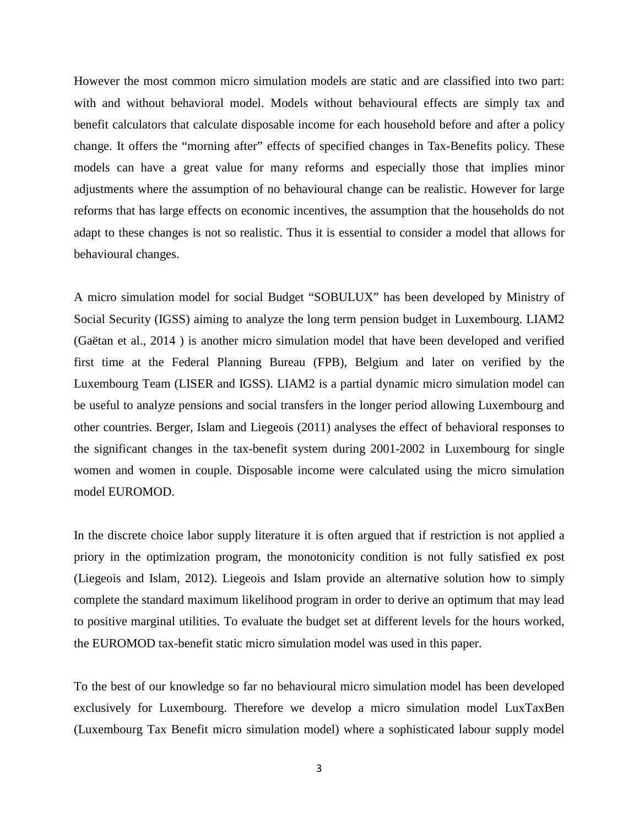However the most common micro simulation models are static and are classified into two part: with and without behavioral model. Models without behavioural effects are simply tax and benefit calculators that calculate disposable income for each household before and after a policy change. It offers the "morning after" effects of specified changes in Tax-Benefits policy. These models can have a great value for many reforms and especially those that implies minor adjustments where the assumption of no behavioural change can be realistic. However for large reforms that has large effects on economic incentives, the assumption that the households do not adapt to these changes is not so realistic. Thus it is essential to consider a model that allows for behavioural changes.

A micro simulation model for social Budget "SOBULUX" has been developed by Ministry of Social Security (IGSS) aiming to analyze the long term pension budget in Luxembourg. LIAM2 (Gaëtan et al., 2014 ) is another micro simulation model that have been developed and verified first time at the Federal Planning Bureau (FPB), Belgium and later on verified by the Luxembourg Team (LISER and IGSS). LIAM2 is a partial dynamic micro simulation model can be useful to analyze pensions and social transfers in the longer period allowing Luxembourg and other countries. Berger, Islam and Liegeois (2011) analyses the effect of behavioral responses to the significant changes in the tax-benefit system during 2001-2002 in Luxembourg for single women and women in couple. Disposable income were calculated using the micro simulation model EUROMOD.

In the discrete choice labor supply literature it is often argued that if restriction is not applied a priory in the optimization program, the monotonicity condition is not fully satisfied ex post (Liegeois and Islam, 2012). Liegeois and Islam provide an alternative solution how to simply complete the standard maximum likelihood program in order to derive an optimum that may lead to positive marginal utilities. To evaluate the budget set at different levels for the hours worked, the EUROMOD tax-benefit static micro simulation model was used in this paper.

To the best of our knowledge so far no behavioural micro simulation model has been developed exclusively for Luxembourg. Therefore we develop a micro simulation model LuxTaxBen (Luxembourg Tax Benefit micro simulation model) where a sophisticated labour supply model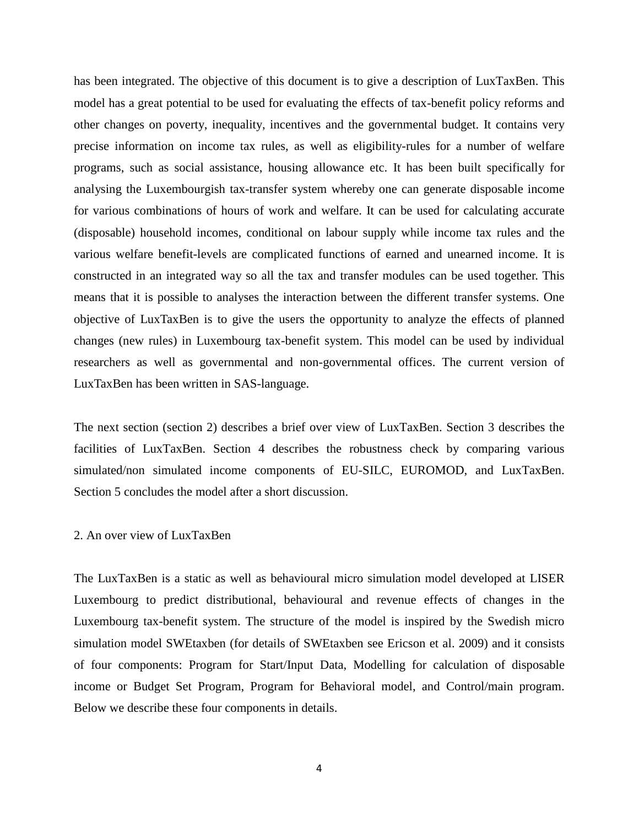has been integrated. The objective of this document is to give a description of LuxTaxBen. This model has a great potential to be used for evaluating the effects of tax-benefit policy reforms and other changes on poverty, inequality, incentives and the governmental budget. It contains very precise information on income tax rules, as well as eligibility-rules for a number of welfare programs, such as social assistance, housing allowance etc. It has been built specifically for analysing the Luxembourgish tax-transfer system whereby one can generate disposable income for various combinations of hours of work and welfare. It can be used for calculating accurate (disposable) household incomes, conditional on labour supply while income tax rules and the various welfare benefit-levels are complicated functions of earned and unearned income. It is constructed in an integrated way so all the tax and transfer modules can be used together. This means that it is possible to analyses the interaction between the different transfer systems. One objective of LuxTaxBen is to give the users the opportunity to analyze the effects of planned changes (new rules) in Luxembourg tax-benefit system. This model can be used by individual researchers as well as governmental and non-governmental offices. The current version of LuxTaxBen has been written in SAS-language.

The next section (section 2) describes a brief over view of LuxTaxBen. Section 3 describes the facilities of LuxTaxBen. Section 4 describes the robustness check by comparing various simulated/non simulated income components of EU-SILC, EUROMOD, and LuxTaxBen. Section 5 concludes the model after a short discussion.

#### 2. An over view of LuxTaxBen

The LuxTaxBen is a static as well as behavioural micro simulation model developed at LISER Luxembourg to predict distributional, behavioural and revenue effects of changes in the Luxembourg tax-benefit system. The structure of the model is inspired by the Swedish micro simulation model SWEtaxben (for details of SWEtaxben see Ericson et al. 2009) and it consists of four components: Program for Start/Input Data, Modelling for calculation of disposable income or Budget Set Program, Program for Behavioral model, and Control/main program. Below we describe these four components in details.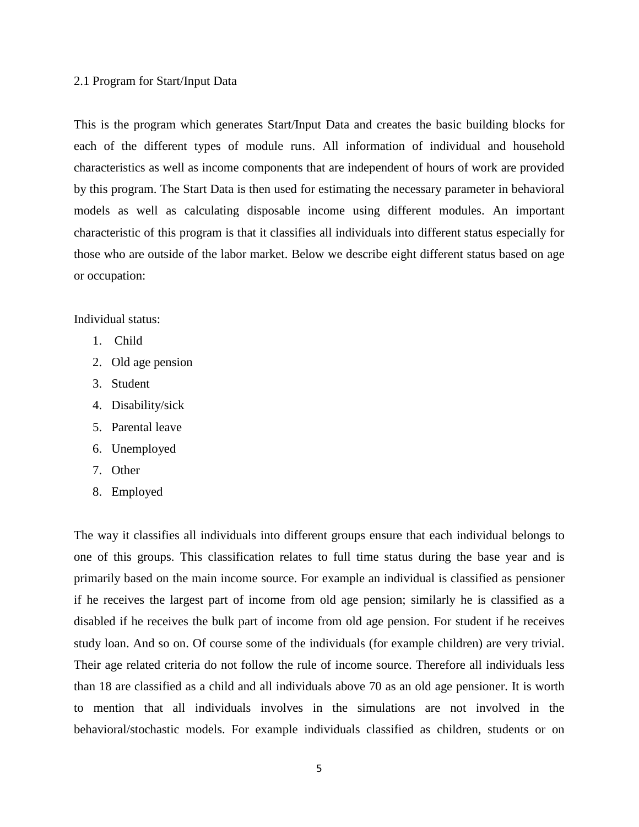#### 2.1 Program for Start/Input Data

This is the program which generates Start/Input Data and creates the basic building blocks for each of the different types of module runs. All information of individual and household characteristics as well as income components that are independent of hours of work are provided by this program. The Start Data is then used for estimating the necessary parameter in behavioral models as well as calculating disposable income using different modules. An important characteristic of this program is that it classifies all individuals into different status especially for those who are outside of the labor market. Below we describe eight different status based on age or occupation:

Individual status:

- 1. Child
- 2. Old age pension
- 3. Student
- 4. Disability/sick
- 5. Parental leave
- 6. Unemployed
- 7. Other
- 8. Employed

The way it classifies all individuals into different groups ensure that each individual belongs to one of this groups. This classification relates to full time status during the base year and is primarily based on the main income source. For example an individual is classified as pensioner if he receives the largest part of income from old age pension; similarly he is classified as a disabled if he receives the bulk part of income from old age pension. For student if he receives study loan. And so on. Of course some of the individuals (for example children) are very trivial. Their age related criteria do not follow the rule of income source. Therefore all individuals less than 18 are classified as a child and all individuals above 70 as an old age pensioner. It is worth to mention that all individuals involves in the simulations are not involved in the behavioral/stochastic models. For example individuals classified as children, students or on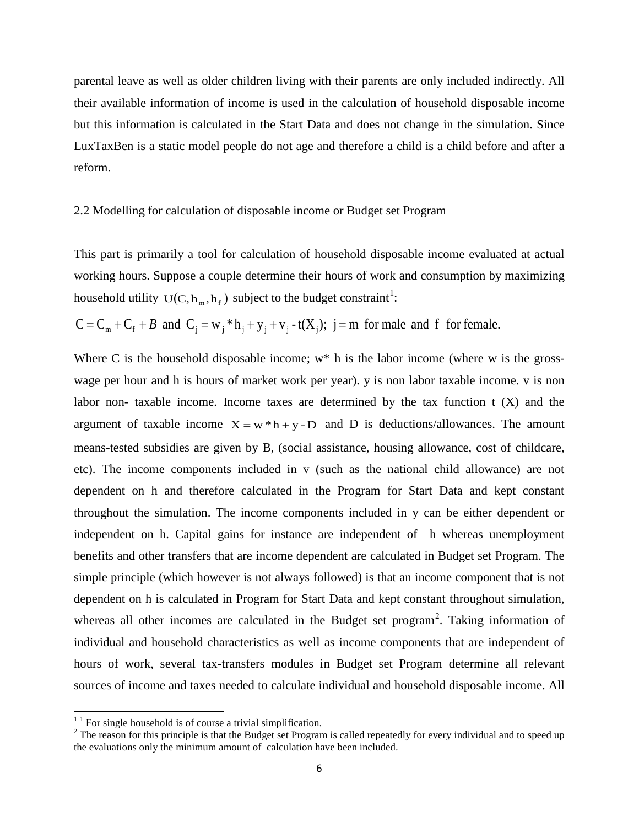parental leave as well as older children living with their parents are only included indirectly. All their available information of income is used in the calculation of household disposable income but this information is calculated in the Start Data and does not change in the simulation. Since LuxTaxBen is a static model people do not age and therefore a child is a child before and after a reform.

#### 2.2 Modelling for calculation of disposable income or Budget set Program

This part is primarily a tool for calculation of household disposable income evaluated at actual working hours. Suppose a couple determine their hours of work and consumption by maximizing household utility  $U(C, h_m, h_f)$  subject to the budget constraint<sup>[1](#page-7-0)</sup>:

$$
C = C_m + C_f + B \text{ and } C_j = w_j * h_j + y_j + v_j - t(X_j); j = m \text{ for male and } f \text{ for female.}
$$

Where C is the household disposable income;  $w^*$  h is the labor income (where w is the grosswage per hour and h is hours of market work per year). y is non labor taxable income. v is non labor non- taxable income. Income taxes are determined by the tax function  $t(X)$  and the argument of taxable income  $X = w * h + y - D$  and D is deductions/allowances. The amount means-tested subsidies are given by B, (social assistance, housing allowance, cost of childcare, etc). The income components included in v (such as the national child allowance) are not dependent on h and therefore calculated in the Program for Start Data and kept constant throughout the simulation. The income components included in y can be either dependent or independent on h. Capital gains for instance are independent of h whereas unemployment benefits and other transfers that are income dependent are calculated in Budget set Program. The simple principle (which however is not always followed) is that an income component that is not dependent on h is calculated in Program for Start Data and kept constant throughout simulation, whereas all other incomes are calculated in the Budget set program<sup>[2](#page-7-1)</sup>. Taking information of individual and household characteristics as well as income components that are independent of hours of work, several tax-transfers modules in Budget set Program determine all relevant sources of income and taxes needed to calculate individual and household disposable income. All

<span id="page-7-1"></span><span id="page-7-0"></span><sup>&</sup>lt;sup>1</sup> <sup>1</sup> For single household is of course a trivial simplification.<br><sup>2</sup> The reason for this principle is that the Budget set Program is called repeatedly for every individual and to speed up the evaluations only the minimum amount of calculation have been included.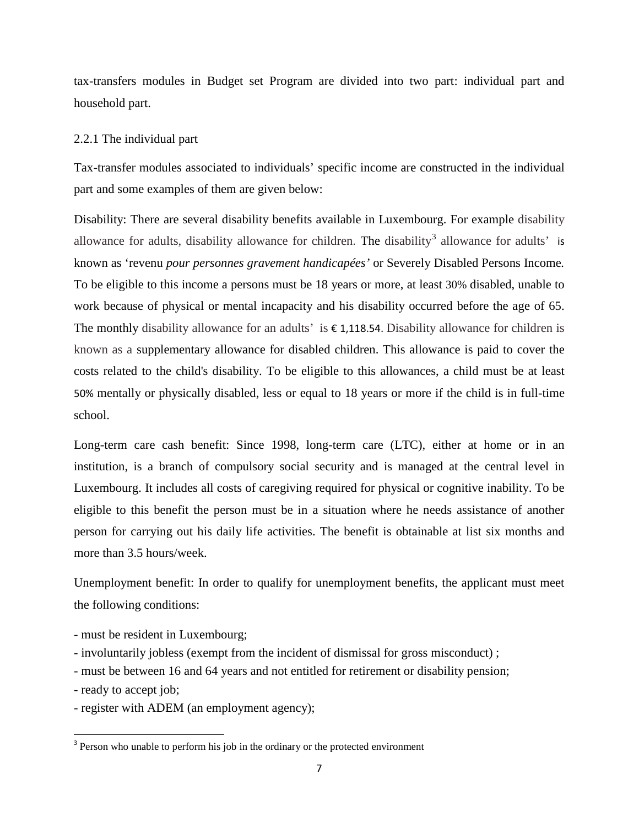tax-transfers modules in Budget set Program are divided into two part: individual part and household part.

#### 2.2.1 The individual part

Tax-transfer modules associated to individuals' specific income are constructed in the individual part and some examples of them are given below:

Disability: There are several disability benefits available in Luxembourg. For example disability allowance for adults, disability allowance for children. The disability<sup>[3](#page-8-0)</sup> allowance for adults' is known as 'revenu *pour personnes gravement handicapées'* or Severely Disabled Persons Income*.* To be eligible to this income a persons must be 18 years or more, at least 30% disabled, unable to work because of physical or mental incapacity and his disability occurred before the age of 65. The monthly disability allowance for an adults' is  $\epsilon$  1,118.54. Disability allowance for children is known as a supplementary allowance for disabled children. This allowance is paid to cover the costs related to the child's disability. To be eligible to this allowances, a child must be at least 50% mentally or physically disabled, less or equal to 18 years or more if the child is in full-time school.

Long-term care cash benefit: Since 1998, long-term care (LTC), either at home or in an institution, is a branch of compulsory social security and is managed at the central level in Luxembourg. It includes all costs of caregiving required for physical or cognitive inability. To be eligible to this benefit the person must be in a situation where he needs assistance of another person for carrying out his daily life activities. The benefit is obtainable at list six months and more than 3.5 hours/week.

Unemployment benefit: In order to qualify for unemployment benefits, the applicant must meet the following conditions:

- must be resident in Luxembourg;
- involuntarily jobless (exempt from the incident of dismissal for gross misconduct) ;
- must be between 16 and 64 years and not entitled for retirement or disability pension;
- ready to accept job;
- register with ADEM (an employment agency);

<span id="page-8-0"></span><sup>&</sup>lt;sup>3</sup> Person who unable to perform his job in the ordinary or the protected environment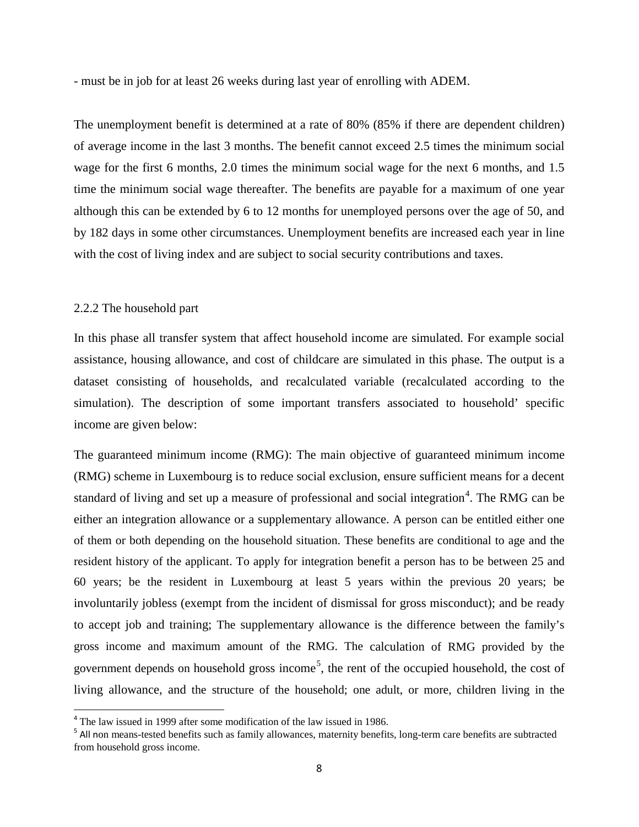- must be in job for at least 26 weeks during last year of enrolling with ADEM.

The unemployment benefit is determined at a rate of 80% (85% if there are dependent children) of average income in the last 3 months. The benefit cannot exceed 2.5 times the minimum social wage for the first 6 months, 2.0 times the minimum social wage for the next 6 months, and 1.5 time the minimum social wage thereafter. The benefits are payable for a maximum of one year although this can be extended by 6 to 12 months for unemployed persons over the age of 50, and by 182 days in some other circumstances. Unemployment benefits are increased each year in line with the cost of living index and are subject to social security contributions and taxes.

#### 2.2.2 The household part

In this phase all transfer system that affect household income are simulated. For example social assistance, housing allowance, and cost of childcare are simulated in this phase. The output is a dataset consisting of households, and recalculated variable (recalculated according to the simulation). The description of some important transfers associated to household' specific income are given below:

The guaranteed minimum income (RMG): The main objective of guaranteed minimum income (RMG) scheme in Luxembourg is to reduce social exclusion, ensure sufficient means for a decent standard of living and set up a measure of professional and social integration<sup>[4](#page-9-0)</sup>. The RMG can be either an integration allowance or a supplementary allowance. A person can be entitled either one of them or both depending on the household situation. These benefits are conditional to age and the resident history of the applicant. To apply for integration benefit a person has to be between 25 and 60 years; be the resident in Luxembourg at least 5 years within the previous 20 years; be involuntarily jobless (exempt from the incident of dismissal for gross misconduct); and be ready to accept job and training; The supplementary allowance is the difference between the family's gross income and maximum amount of the RMG. The calculation of RMG provided by the government depends on household gross income<sup>[5](#page-9-1)</sup>, the rent of the occupied household, the cost of living allowance, and the structure of the household; one adult, or more, children living in the

<span id="page-9-1"></span><span id="page-9-0"></span> $\frac{4}{5}$  The law issued in 1999 after some modification of the law issued in 1986.<br> $\frac{5}{2}$  All non means-tested benefits such as family allowances, maternity benefits, long-term care benefits are subtracted from household gross income.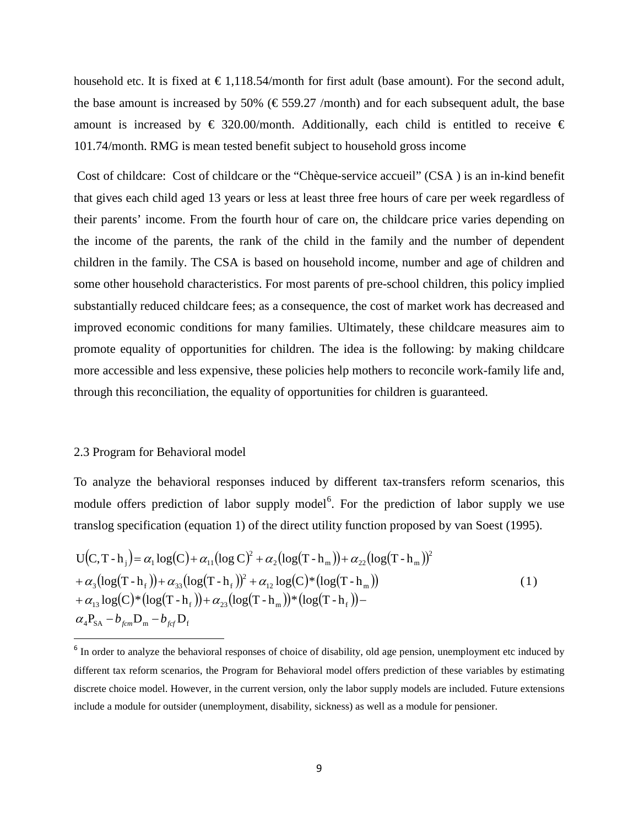household etc. It is fixed at  $\epsilon 1,118.54$ /month for first adult (base amount). For the second adult, the base amount is increased by 50% ( $\epsilon$ 559.27 /month) and for each subsequent adult, the base amount is increased by  $\epsilon$  320.00/month. Additionally, each child is entitled to receive  $\epsilon$ 101.74/month. RMG is mean tested benefit subject to household gross income

Cost of childcare: Cost of childcare or the "Chèque-service accueil" (CSA ) is an in-kind benefit that gives each child aged 13 years or less at least three free hours of care per week regardless of their parents' income. From the fourth hour of care on, the childcare price varies depending on the income of the parents, the rank of the child in the family and the number of dependent children in the family. The CSA is based on household income, number and age of children and some other household characteristics. For most parents of pre-school children, this policy implied substantially reduced childcare fees; as a consequence, the cost of market work has decreased and improved economic conditions for many families. Ultimately, these childcare measures aim to promote equality of opportunities for children. The idea is the following: by making childcare more accessible and less expensive, these policies help mothers to reconcile work-family life and, through this reconciliation, the equality of opportunities for children is guaranteed.

#### 2.3 Program for Behavioral model

To analyze the behavioral responses induced by different tax-transfers reform scenarios, this module offers prediction of labor supply model<sup>[6](#page-10-0)</sup>. For the prediction of labor supply we use translog specification (equation 1) of the direct utility function proposed by van Soest (1995).

$$
U(C, T - hj) = \alpha_1 \log(C) + \alpha_{11} (\log C)^2 + \alpha_2 (\log(T - hm)) + \alpha_{22} (\log(T - hm))2
$$
  
+  $\alpha_3 (\log(T - h_f)) + \alpha_{33} (\log(T - h_f))^{2} + \alpha_{12} \log(C) * (\log(T - hm))$   
+  $\alpha_{13} \log(C) * (\log(T - h_f)) + \alpha_{23} (\log(T - hm)) * (\log(T - h_f)) -$   
 $\alpha_4 P_{SA} - b_{fcm} D_m - b_{fcf} D_f$  (1)

<span id="page-10-0"></span> $6$  In order to analyze the behavioral responses of choice of disability, old age pension, unemployment etc induced by different tax reform scenarios, the Program for Behavioral model offers prediction of these variables by estimating discrete choice model. However, in the current version, only the labor supply models are included. Future extensions include a module for outsider (unemployment, disability, sickness) as well as a module for pensioner.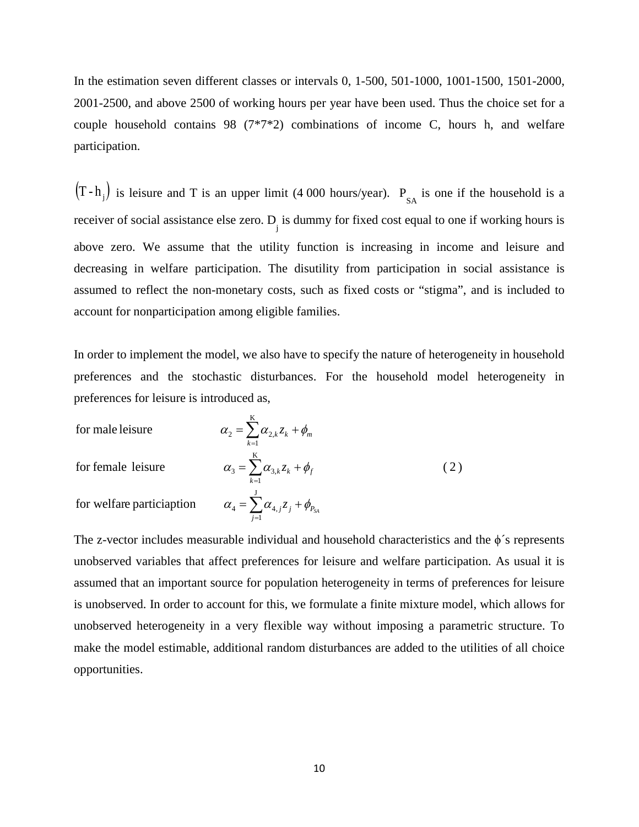In the estimation seven different classes or intervals 0, 1-500, 501-1000, 1001-1500, 1501-2000, 2001-2500, and above 2500 of working hours per year have been used. Thus the choice set for a couple household contains 98 (7\*7\*2) combinations of income C, hours h, and welfare participation.

 $(T - h_j)$  is leisure and T is an upper limit (4 000 hours/year).  $P_{SA}$  is one if the household is a receiver of social assistance else zero.  $D_j$  is dummy for fixed cost equal to one if working hours is above zero. We assume that the utility function is increasing in income and leisure and decreasing in welfare participation. The disutility from participation in social assistance is assumed to reflect the non-monetary costs, such as fixed costs or "stigma", and is included to account for nonparticipation among eligible families.

In order to implement the model, we also have to specify the nature of heterogeneity in household preferences and the stochastic disturbances. For the household model heterogeneity in preferences for leisure is introduced as,

for male leisure

for female leisure

$$
\alpha_{2} = \sum_{k=1}^{K} \alpha_{2,k} z_{k} + \phi_{m}
$$
\n
$$
\alpha_{3} = \sum_{k=1}^{K} \alpha_{3,k} z_{k} + \phi_{f}
$$
\n
$$
\alpha_{4} = \sum_{j=1}^{J} \alpha_{4,j} z_{j} + \phi_{P_{SA}}
$$
\n(2)

for welfare particiaption

The z-vector includes measurable individual and household characteristics and the  $\phi$ 's represents unobserved variables that affect preferences for leisure and welfare participation. As usual it is assumed that an important source for population heterogeneity in terms of preferences for leisure is unobserved. In order to account for this, we formulate a finite mixture model, which allows for unobserved heterogeneity in a very flexible way without imposing a parametric structure. To make the model estimable, additional random disturbances are added to the utilities of all choice opportunities.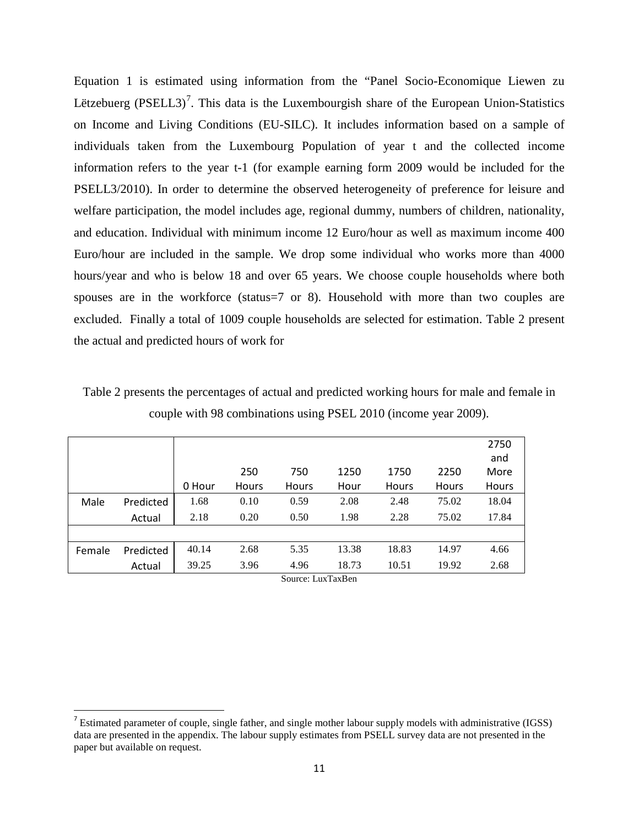Equation 1 is estimated using information from the "Panel Socio-Economique Liewen zu Lëtzebuerg (PSELL3)<sup>[7](#page-12-0)</sup>. This data is the Luxembourgish share of the European Union-Statistics on Income and Living Conditions (EU-SILC). It includes information based on a sample of individuals taken from the Luxembourg Population of year t and the collected income information refers to the year t-1 (for example earning form 2009 would be included for the PSELL3/2010). In order to determine the observed heterogeneity of preference for leisure and welfare participation, the model includes age, regional dummy, numbers of children, nationality, and education. Individual with minimum income 12 Euro/hour as well as maximum income 400 Euro/hour are included in the sample. We drop some individual who works more than 4000 hours/year and who is below 18 and over 65 years. We choose couple households where both spouses are in the workforce (status=7 or 8). Household with more than two couples are excluded. Finally a total of 1009 couple households are selected for estimation. Table 2 present the actual and predicted hours of work for

| Table 2 presents the percentages of actual and predicted working hours for male and female in |
|-----------------------------------------------------------------------------------------------|
| couple with 98 combinations using PSEL 2010 (income year 2009).                               |

|        |           | 0 Hour | 250           | 750   | 1250  | 1750                 | 2250                  | 2750<br>and<br>More<br>Hours |
|--------|-----------|--------|---------------|-------|-------|----------------------|-----------------------|------------------------------|
|        |           |        | Hours<br>0.10 | Hours | Hour  | <b>Hours</b><br>2.48 | <b>Hours</b><br>75.02 | 18.04                        |
| Male   | Predicted | 1.68   |               | 0.59  | 2.08  |                      |                       |                              |
|        | Actual    | 2.18   | 0.20          | 0.50  | 1.98  | 2.28                 | 75.02                 | 17.84                        |
|        |           |        |               |       |       |                      |                       |                              |
| Female | Predicted | 40.14  | 2.68          | 5.35  | 13.38 | 18.83                | 14.97                 | 4.66                         |
|        | Actual    | 39.25  | 3.96          | 4.96  | 18.73 | 10.51                | 19.92                 | 2.68                         |

Source: LuxTaxBen

<span id="page-12-0"></span><sup>&</sup>lt;sup>7</sup> Estimated parameter of couple, single father, and single mother labour supply models with administrative (IGSS) data are presented in the appendix. The labour supply estimates from PSELL survey data are not presented in the paper but available on request.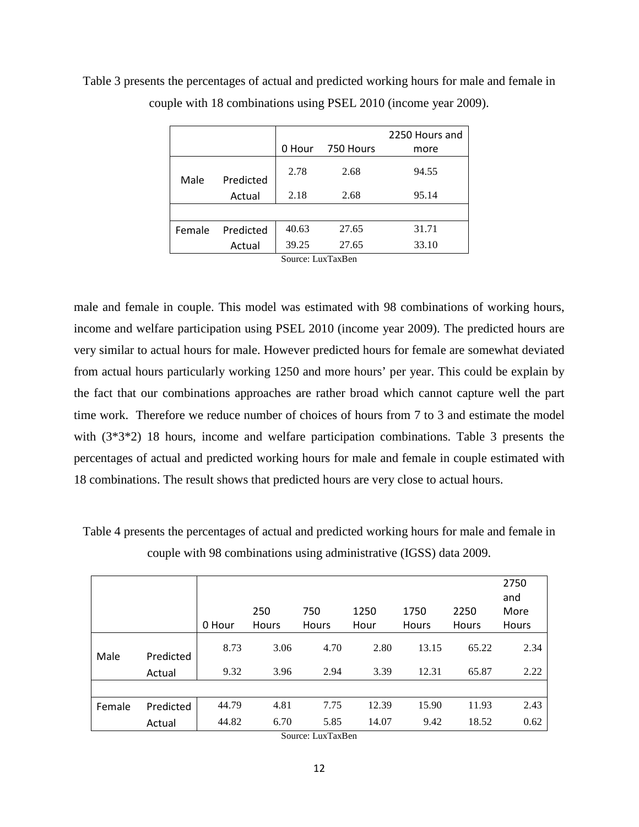|        |           |                   |           | 2250 Hours and |
|--------|-----------|-------------------|-----------|----------------|
|        |           | 0 Hour            | 750 Hours | more           |
| Male   | Predicted | 2.78              | 2.68      | 94.55          |
|        | Actual    | 2.18              | 2.68      | 95.14          |
|        |           |                   |           |                |
| Female | Predicted | 40.63             | 27.65     | 31.71          |
|        | Actual    | 39.25             | 27.65     | 33.10          |
|        |           | Source: LuxTaxBen |           |                |

Table 3 presents the percentages of actual and predicted working hours for male and female in couple with 18 combinations using PSEL 2010 (income year 2009).

male and female in couple. This model was estimated with 98 combinations of working hours, income and welfare participation using PSEL 2010 (income year 2009). The predicted hours are very similar to actual hours for male. However predicted hours for female are somewhat deviated from actual hours particularly working 1250 and more hours' per year. This could be explain by the fact that our combinations approaches are rather broad which cannot capture well the part time work. Therefore we reduce number of choices of hours from 7 to 3 and estimate the model with (3\*3\*2) 18 hours, income and welfare participation combinations. Table 3 presents the percentages of actual and predicted working hours for male and female in couple estimated with 18 combinations. The result shows that predicted hours are very close to actual hours.

|        |                     | 0 Hour | 250<br><b>Hours</b> | 750<br>Hours | 1250<br>Hour | 1750<br>Hours | 2250<br>Hours | 2750<br>and<br>More<br>Hours |
|--------|---------------------|--------|---------------------|--------------|--------------|---------------|---------------|------------------------------|
|        |                     | 8.73   | 3.06                | 4.70         | 2.80         | 13.15         | 65.22         | 2.34                         |
| Male   | Predicted<br>Actual | 9.32   | 3.96                | 2.94         | 3.39         | 12.31         | 65.87         | 2.22                         |
|        |                     |        |                     |              |              |               |               |                              |
| Female | Predicted           | 44.79  | 4.81                | 7.75         | 12.39        | 15.90         | 11.93         | 2.43                         |
|        | Actual              | 44.82  | 6.70                | 5.85         | 14.07        | 9.42          | 18.52         | 0.62                         |

Table 4 presents the percentages of actual and predicted working hours for male and female in couple with 98 combinations using administrative (IGSS) data 2009.

Source: LuxTaxBen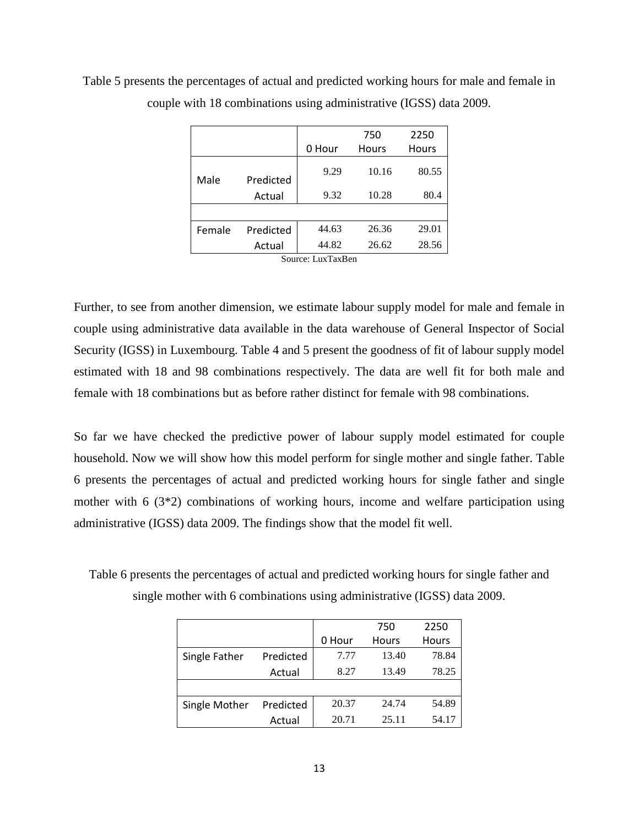|        |           |                   | 750          | 2250  |
|--------|-----------|-------------------|--------------|-------|
|        |           | 0 Hour            | <b>Hours</b> | Hours |
| Male   | Predicted | 9.29              | 10.16        | 80.55 |
|        | Actual    | 9.32              | 10.28        | 80.4  |
|        |           |                   |              |       |
| Female | Predicted | 44.63             | 26.36        | 29.01 |
|        | Actual    | 44.82             | 26.62        | 28.56 |
|        |           | Source: LuxTaxBen |              |       |

Table 5 presents the percentages of actual and predicted working hours for male and female in couple with 18 combinations using administrative (IGSS) data 2009.

Further, to see from another dimension, we estimate labour supply model for male and female in couple using administrative data available in the data warehouse of General Inspector of Social Security (IGSS) in Luxembourg. Table 4 and 5 present the goodness of fit of labour supply model estimated with 18 and 98 combinations respectively. The data are well fit for both male and female with 18 combinations but as before rather distinct for female with 98 combinations.

So far we have checked the predictive power of labour supply model estimated for couple household. Now we will show how this model perform for single mother and single father. Table 6 presents the percentages of actual and predicted working hours for single father and single mother with 6 (3\*2) combinations of working hours, income and welfare participation using administrative (IGSS) data 2009. The findings show that the model fit well.

Table 6 presents the percentages of actual and predicted working hours for single father and single mother with 6 combinations using administrative (IGSS) data 2009.

|               |           |        | 750   | 2250         |
|---------------|-----------|--------|-------|--------------|
|               |           | 0 Hour | Hours | <b>Hours</b> |
| Single Father | Predicted | 7.77   | 13.40 | 78.84        |
|               | Actual    | 8.27   | 13.49 | 78.25        |
|               |           |        |       |              |
| Single Mother | Predicted | 20.37  | 24.74 | 54.89        |
|               | Actual    | 20.71  | 25.11 | 54.17        |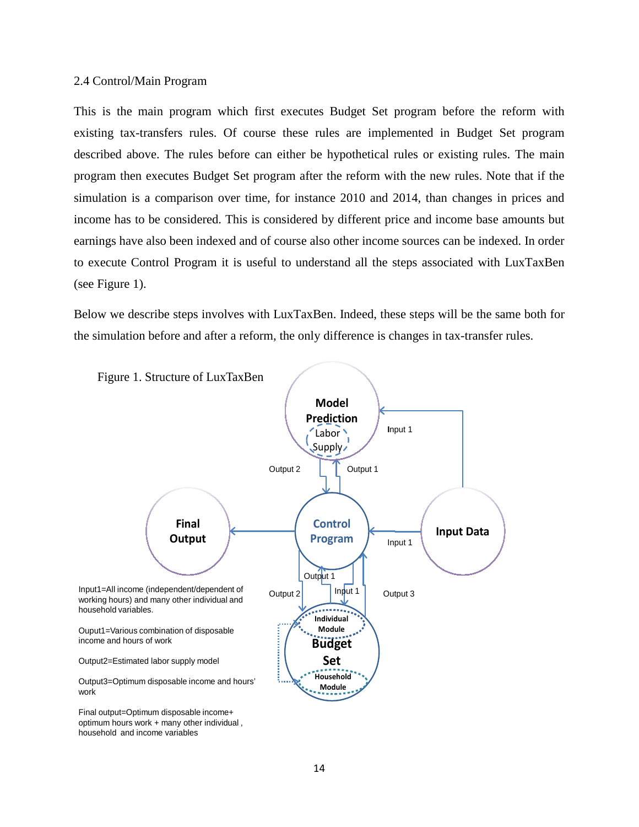#### 2.4 Control/Main Program

This is the main program which first executes Budget Set program before the reform with existing tax-transfers rules. Of course these rules are implemented in Budget Set program described above. The rules before can either be hypothetical rules or existing rules. The main program then executes Budget Set program after the reform with the new rules. Note that if the simulation is a comparison over time, for instance 2010 and 2014, than changes in prices and income has to be considered. This is considered by different price and income base amounts but earnings have also been indexed and of course also other income sources can be indexed. In order to execute Control Program it is useful to understand all the steps associated with LuxTaxBen (see Figure 1).

Below we describe steps involves with LuxTaxBen. Indeed, these steps will be the same both for the simulation before and after a reform, the only difference is changes in tax-transfer rules.



household and income variables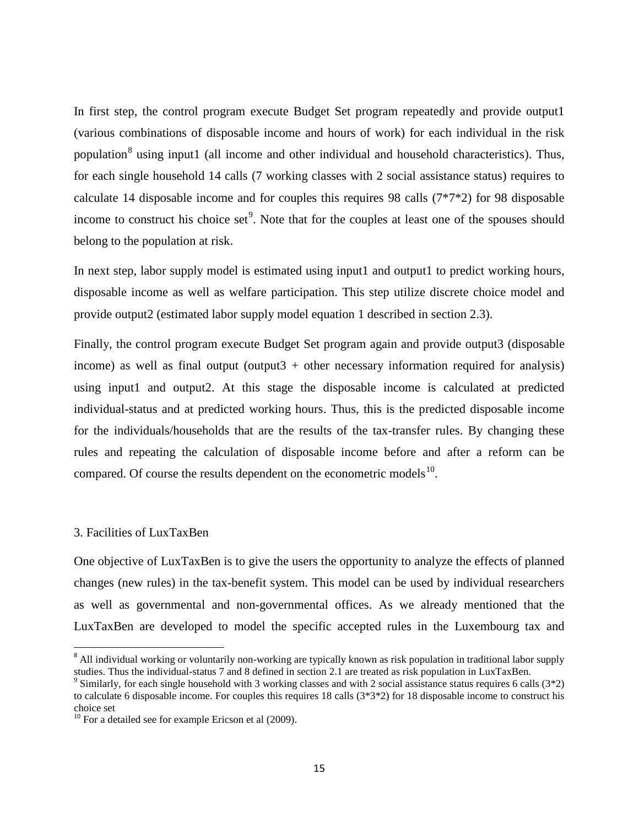In first step, the control program execute Budget Set program repeatedly and provide output1 (various combinations of disposable income and hours of work) for each individual in the risk population<sup>[8](#page-16-0)</sup> using input1 (all income and other individual and household characteristics). Thus, for each single household 14 calls (7 working classes with 2 social assistance status) requires to calculate 14 disposable income and for couples this requires 98 calls (7\*7\*2) for 98 disposable income to construct his choice set<sup>[9](#page-16-1)</sup>. Note that for the couples at least one of the spouses should belong to the population at risk.

In next step, labor supply model is estimated using input1 and output1 to predict working hours, disposable income as well as welfare participation. This step utilize discrete choice model and provide output2 (estimated labor supply model equation 1 described in section 2.3).

Finally, the control program execute Budget Set program again and provide output3 (disposable income) as well as final output (output $3 +$  other necessary information required for analysis) using input1 and output2. At this stage the disposable income is calculated at predicted individual-status and at predicted working hours. Thus, this is the predicted disposable income for the individuals/households that are the results of the tax-transfer rules. By changing these rules and repeating the calculation of disposable income before and after a reform can be compared. Of course the results dependent on the econometric models $^{10}$ .

#### 3. Facilities of LuxTaxBen

One objective of LuxTaxBen is to give the users the opportunity to analyze the effects of planned changes (new rules) in the tax-benefit system. This model can be used by individual researchers as well as governmental and non-governmental offices. As we already mentioned that the LuxTaxBen are developed to model the specific accepted rules in the Luxembourg tax and

<span id="page-16-0"></span><sup>&</sup>lt;sup>8</sup> All individual working or voluntarily non-working are typically known as risk population in traditional labor supply studies. Thus the individual-status 7 and 8 defined in section 2.1 are treated as risk population in

<span id="page-16-1"></span><sup>&</sup>lt;sup>9</sup> Similarly, for each single household with 3 working classes and with 2 social assistance status requires 6 calls  $(3^*2)$ to calculate 6 disposable income. For couples this requires 18 calls  $(3*3*2)$  for 18 disposable income to construct his choice set

<span id="page-16-2"></span> $10$  For a detailed see for example Ericson et al (2009).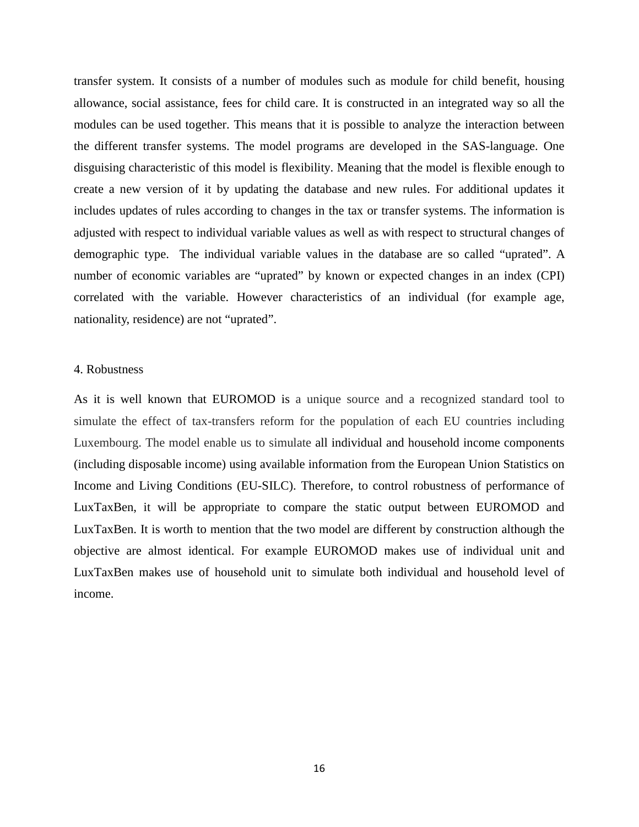transfer system. It consists of a number of modules such as module for child benefit, housing allowance, social assistance, fees for child care. It is constructed in an integrated way so all the modules can be used together. This means that it is possible to analyze the interaction between the different transfer systems. The model programs are developed in the SAS-language. One disguising characteristic of this model is flexibility. Meaning that the model is flexible enough to create a new version of it by updating the database and new rules. For additional updates it includes updates of rules according to changes in the tax or transfer systems. The information is adjusted with respect to individual variable values as well as with respect to structural changes of demographic type. The individual variable values in the database are so called "uprated". A number of economic variables are "uprated" by known or expected changes in an index (CPI) correlated with the variable. However characteristics of an individual (for example age, nationality, residence) are not "uprated".

#### 4. Robustness

As it is well known that EUROMOD is a unique source and a recognized standard tool to simulate the effect of tax-transfers reform for the population of each EU countries including Luxembourg. The model enable us to simulate all individual and household income components (including disposable income) using available information from the European Union Statistics on Income and Living Conditions (EU-SILC). Therefore, to control robustness of performance of LuxTaxBen, it will be appropriate to compare the static output between EUROMOD and LuxTaxBen. It is worth to mention that the two model are different by construction although the objective are almost identical. For example EUROMOD makes use of individual unit and LuxTaxBen makes use of household unit to simulate both individual and household level of income.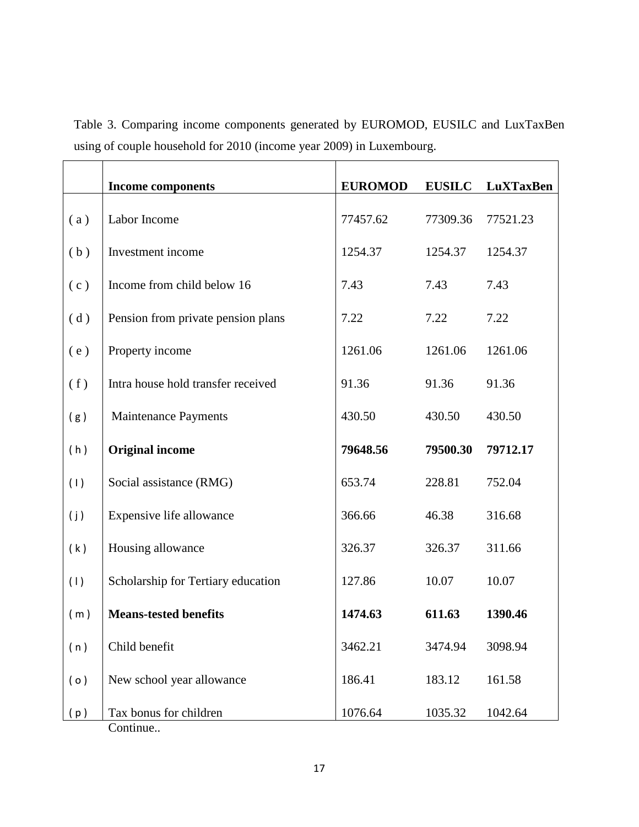|     | <b>Income components</b>           | <b>EUROMOD</b> | <b>EUSILC</b> | <b>LuXTaxBen</b> |
|-----|------------------------------------|----------------|---------------|------------------|
| (a) | Labor Income                       | 77457.62       | 77309.36      | 77521.23         |
| (b) | Investment income                  | 1254.37        | 1254.37       | 1254.37          |
| (c) | Income from child below 16         | 7.43           | 7.43          | 7.43             |
| (d) | Pension from private pension plans | 7.22           | 7.22          | 7.22             |
| (e) | Property income                    | 1261.06        | 1261.06       | 1261.06          |
| (f) | Intra house hold transfer received | 91.36          | 91.36         | 91.36            |
| (g) | <b>Maintenance Payments</b>        | 430.50         | 430.50        | 430.50           |
| (h) | <b>Original income</b>             | 79648.56       | 79500.30      | 79712.17         |
| (1) | Social assistance (RMG)            | 653.74         | 228.81        | 752.04           |
| (j) | Expensive life allowance           | 366.66         | 46.38         | 316.68           |
| (k) | Housing allowance                  | 326.37         | 326.37        | 311.66           |
| (1) | Scholarship for Tertiary education | 127.86         | 10.07         | 10.07            |
| (m) | <b>Means-tested benefits</b>       | 1474.63        | 611.63        | 1390.46          |
| (n) | Child benefit                      | 3462.21        | 3474.94       | 3098.94          |
| (0) | New school year allowance          | 186.41         | 183.12        | 161.58           |
| (p) | Tax bonus for children             | 1076.64        | 1035.32       | 1042.64          |

Table 3. Comparing income components generated by EUROMOD, EUSILC and LuxTaxBen using of couple household for 2010 (income year 2009) in Luxembourg.

Continue..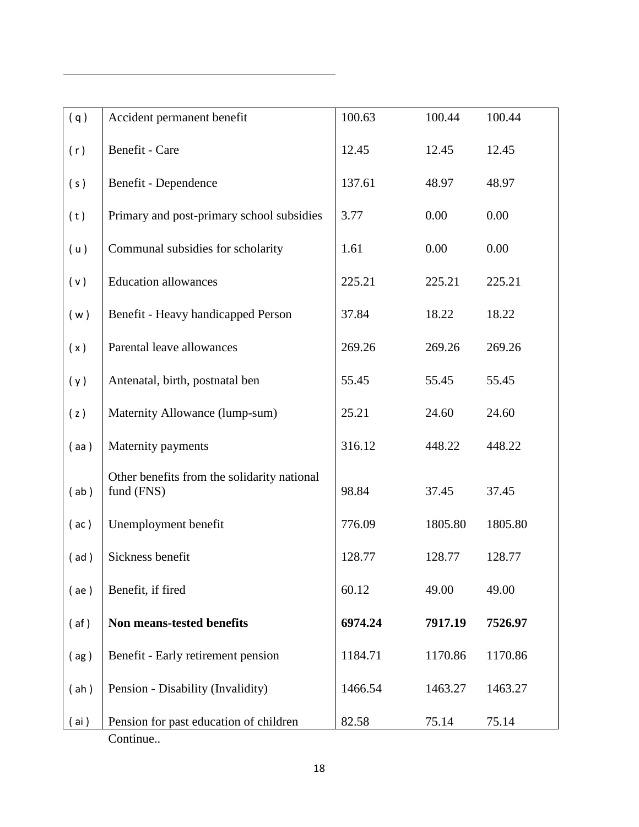| (q)  | Accident permanent benefit                                | 100.63  | 100.44  | 100.44  |
|------|-----------------------------------------------------------|---------|---------|---------|
| (r)  | Benefit - Care                                            | 12.45   | 12.45   | 12.45   |
| (s)  | Benefit - Dependence                                      | 137.61  | 48.97   | 48.97   |
| (t)  | Primary and post-primary school subsidies                 | 3.77    | 0.00    | 0.00    |
| (u)  | Communal subsidies for scholarity                         | 1.61    | 0.00    | 0.00    |
| (v)  | <b>Education allowances</b>                               | 225.21  | 225.21  | 225.21  |
| (w)  | Benefit - Heavy handicapped Person                        | 37.84   | 18.22   | 18.22   |
| (x)  | Parental leave allowances                                 | 269.26  | 269.26  | 269.26  |
| (y)  | Antenatal, birth, postnatal ben                           | 55.45   | 55.45   | 55.45   |
| (z)  | Maternity Allowance (lump-sum)                            | 25.21   | 24.60   | 24.60   |
| (aa) | Maternity payments                                        | 316.12  | 448.22  | 448.22  |
| (ab) | Other benefits from the solidarity national<br>fund (FNS) | 98.84   | 37.45   | 37.45   |
| (a)  | Unemployment benefit                                      | 776.09  | 1805.80 | 1805.80 |
| (ad) | Sickness benefit                                          | 128.77  | 128.77  | 128.77  |
| (ae) | Benefit, if fired                                         | 60.12   | 49.00   | 49.00   |
| (af) | Non means-tested benefits                                 | 6974.24 | 7917.19 | 7526.97 |
| (ag) | Benefit - Early retirement pension                        | 1184.71 | 1170.86 | 1170.86 |
| (ah) | Pension - Disability (Invalidity)                         | 1466.54 | 1463.27 | 1463.27 |
| (a)  | Pension for past education of children<br>Continue        | 82.58   | 75.14   | 75.14   |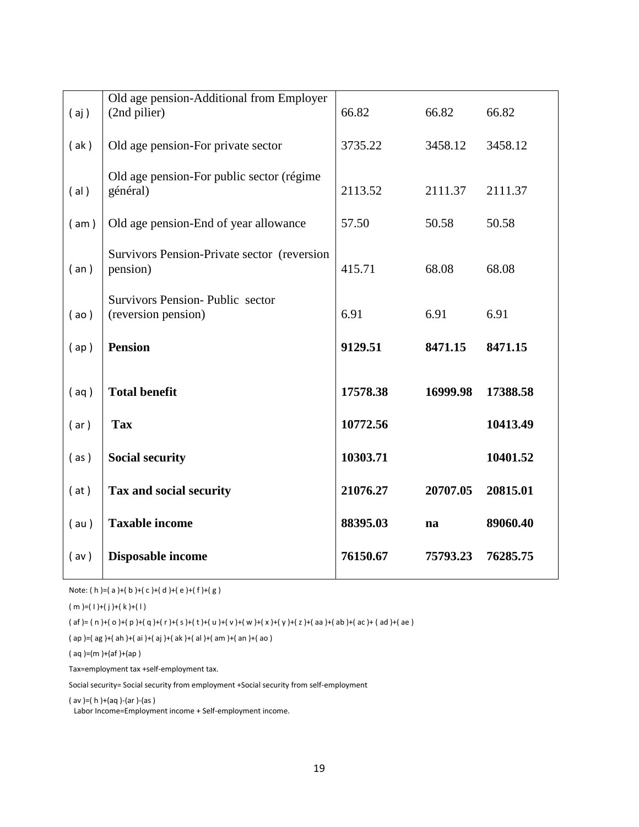| (a)  | Old age pension-Additional from Employer<br>(2nd pilier) | 66.82    | 66.82    | 66.82    |
|------|----------------------------------------------------------|----------|----------|----------|
| (ak) | Old age pension-For private sector                       | 3735.22  | 3458.12  | 3458.12  |
| (al) | Old age pension-For public sector (régime<br>général)    | 2113.52  | 2111.37  | 2111.37  |
| (am) | Old age pension-End of year allowance                    | 57.50    | 50.58    | 50.58    |
| (an) | Survivors Pension-Private sector (reversion<br>pension)  | 415.71   | 68.08    | 68.08    |
| (a)  | Survivors Pension-Public sector<br>(reversion pension)   | 6.91     | 6.91     | 6.91     |
|      |                                                          |          |          |          |
| (ap) | <b>Pension</b>                                           | 9129.51  | 8471.15  | 8471.15  |
| (aq) | <b>Total benefit</b>                                     | 17578.38 | 16999.98 | 17388.58 |
| (ar) | <b>Tax</b>                                               | 10772.56 |          | 10413.49 |
| (as) | <b>Social security</b>                                   | 10303.71 |          | 10401.52 |
| (at) | Tax and social security                                  | 21076.27 | 20707.05 | 20815.01 |
| (au) | <b>Taxable income</b>                                    | 88395.03 | na       | 89060.40 |

Note: ( h )=( a )+( b )+( c )+( d )+( e )+( f )+( g )

 $(m) = (1) + (j) + (k) + (l)$ 

( af )= ( n )+( o )+( p )+( q )+( r )+( s )+( t )+( u )+( v )+( w )+( x )+( y )+( z )+( aa )+( ab )+( ac )+ ( ad )+( ae )

( ap )=( ag )+( ah )+( ai )+( aj )+( ak )+( al )+( am )+( an )+( ao )

( aq )=(m )+(af )+(ap )

Tax=employment tax +self-employment tax.

Social security= Social security from employment +Social security from self-employment

( av )=( h )+(aq )-(ar )-(as )

Labor Income=Employment income + Self-employment income.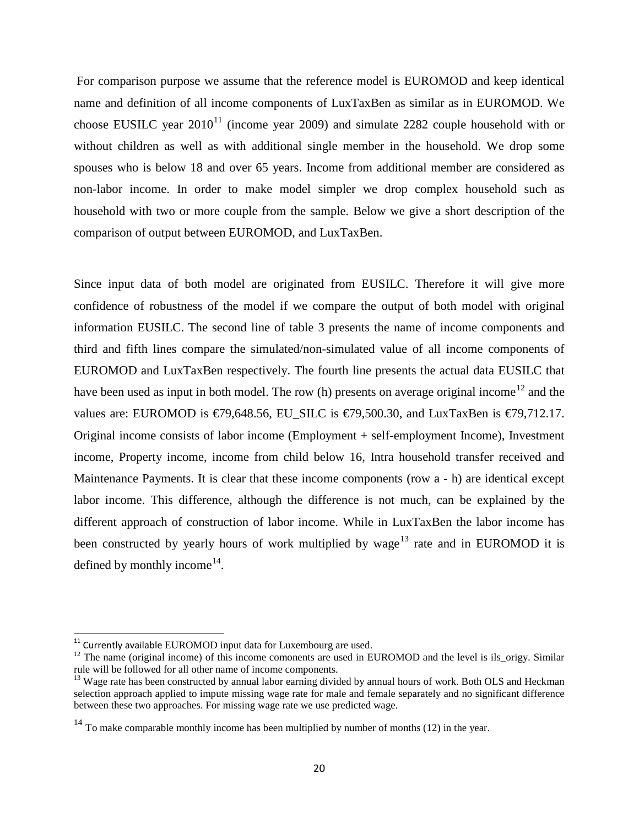For comparison purpose we assume that the reference model is EUROMOD and keep identical name and definition of all income components of LuxTaxBen as similar as in EUROMOD. We choose EUSILC year  $2010^{11}$  $2010^{11}$  $2010^{11}$  (income year 2009) and simulate 2282 couple household with or without children as well as with additional single member in the household. We drop some spouses who is below 18 and over 65 years. Income from additional member are considered as non-labor income. In order to make model simpler we drop complex household such as household with two or more couple from the sample. Below we give a short description of the comparison of output between EUROMOD, and LuxTaxBen.

Since input data of both model are originated from EUSILC. Therefore it will give more confidence of robustness of the model if we compare the output of both model with original information EUSILC. The second line of table 3 presents the name of income components and third and fifth lines compare the simulated/non-simulated value of all income components of EUROMOD and LuxTaxBen respectively. The fourth line presents the actual data EUSILC that have been used as input in both model. The row (h) presents on average original income<sup>[12](#page-21-1)</sup> and the values are: EUROMOD is  $\epsilon$ 79,648.56, EU\_SILC is  $\epsilon$ 79,500.30, and LuxTaxBen is  $\epsilon$ 79,712.17. Original income consists of labor income (Employment + self-employment Income), Investment income, Property income, income from child below 16, Intra household transfer received and Maintenance Payments. It is clear that these income components (row a - h) are identical except labor income. This difference, although the difference is not much, can be explained by the different approach of construction of labor income. While in LuxTaxBen the labor income has been constructed by yearly hours of work multiplied by wage<sup>[13](#page-21-2)</sup> rate and in EUROMOD it is defined by monthly income<sup>14</sup>.

<span id="page-21-1"></span><span id="page-21-0"></span><sup>&</sup>lt;sup>11</sup> Currently available EUROMOD input data for Luxembourg are used.<br><sup>12</sup> The name (original income) of this income comonents are used in EUROMOD and the level is ils\_origy. Similar rule will be followed for all other name of income components.

<span id="page-21-2"></span><sup>&</sup>lt;sup>13</sup> Wage rate has been constructed by annual labor earning divided by annual hours of work. Both OLS and Heckman selection approach applied to impute missing wage rate for male and female separately and no significant difference between these two approaches. For missing wage rate we use predicted wage.

<span id="page-21-3"></span> $14$  To make comparable monthly income has been multiplied by number of months (12) in the year.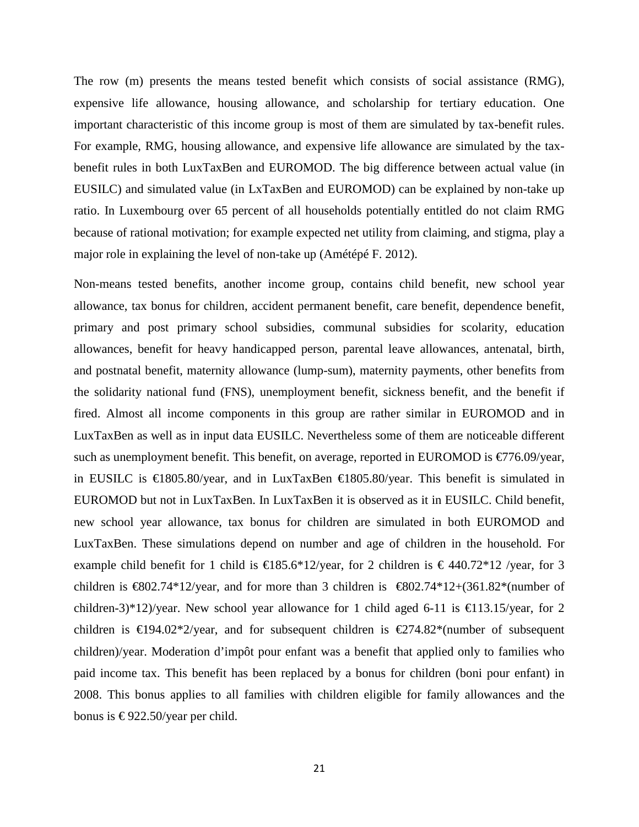The row (m) presents the means tested benefit which consists of social assistance (RMG), expensive life allowance, housing allowance, and scholarship for tertiary education. One important characteristic of this income group is most of them are simulated by tax-benefit rules. For example, RMG, housing allowance, and expensive life allowance are simulated by the taxbenefit rules in both LuxTaxBen and EUROMOD. The big difference between actual value (in EUSILC) and simulated value (in LxTaxBen and EUROMOD) can be explained by non-take up ratio. In Luxembourg over 65 percent of all households potentially entitled do not claim RMG because of rational motivation; for example expected net utility from claiming, and stigma, play a major role in explaining the level of non-take up (Amétépé F. 2012).

Non-means tested benefits, another income group, contains child benefit, new school year allowance, tax bonus for children, accident permanent benefit, care benefit, dependence benefit, primary and post primary school subsidies, communal subsidies for scolarity, education allowances, benefit for heavy handicapped person, parental leave allowances, antenatal, birth, and postnatal benefit, maternity allowance (lump-sum), maternity payments, other benefits from the solidarity national fund (FNS), unemployment benefit, sickness benefit, and the benefit if fired. Almost all income components in this group are rather similar in EUROMOD and in LuxTaxBen as well as in input data EUSILC. Nevertheless some of them are noticeable different such as unemployment benefit. This benefit, on average, reported in EUROMOD is  $\epsilon$ 76.09/year, in EUSILC is €1805.80/year, and in LuxTaxBen €1805.80/year. This benefit is simulated in EUROMOD but not in LuxTaxBen. In LuxTaxBen it is observed as it in EUSILC. Child benefit, new school year allowance, tax bonus for children are simulated in both EUROMOD and LuxTaxBen. These simulations depend on number and age of children in the household. For example child benefit for 1 child is  $\in$ 185.6\*12/year, for 2 children is  $\in$ 440.72\*12 /year, for 3 children is  $\bigoplus 02.74*12$ /year, and for more than 3 children is  $\bigoplus 02.74*12+(361.82*$ (number of children-3)\*12)/year. New school year allowance for 1 child aged 6-11 is  $\bigoplus$ 13.15/year, for 2 children is  $\in$ 194.02\*2/year, and for subsequent children is  $\in$ 274.82\*(number of subsequent children)/year. Moderation d'impôt pour enfant was a benefit that applied only to families who paid income tax. This benefit has been replaced by a bonus for children (boni pour enfant) in 2008. This bonus applies to all families with children eligible for family allowances and the bonus is  $\text{\textsterling}922.50$ /year per child.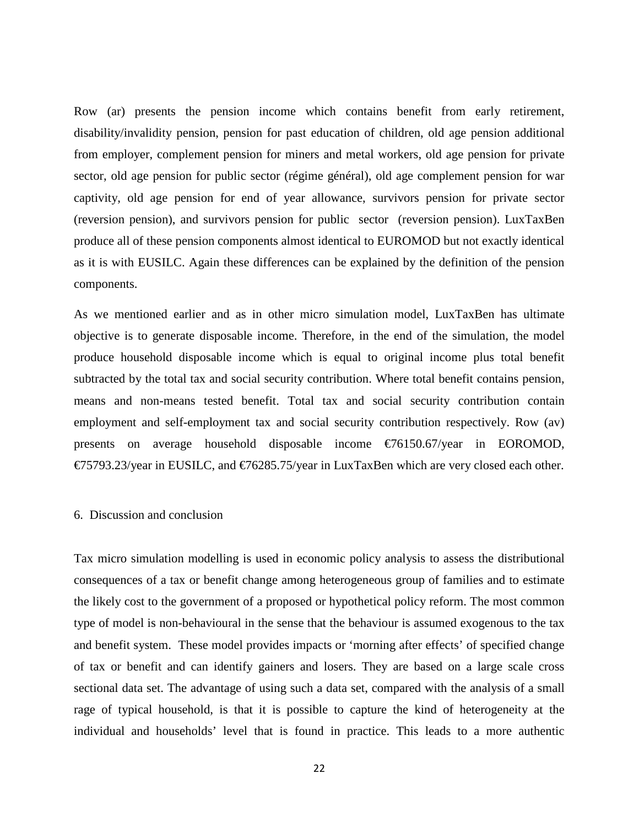Row (ar) presents the pension income which contains benefit from early retirement, disability/invalidity pension, pension for past education of children, old age pension additional from employer, complement pension for miners and metal workers, old age pension for private sector, old age pension for public sector (régime général), old age complement pension for war captivity, old age pension for end of year allowance, survivors pension for private sector (reversion pension), and survivors pension for public sector (reversion pension). LuxTaxBen produce all of these pension components almost identical to EUROMOD but not exactly identical as it is with EUSILC. Again these differences can be explained by the definition of the pension components.

As we mentioned earlier and as in other micro simulation model, LuxTaxBen has ultimate objective is to generate disposable income. Therefore, in the end of the simulation, the model produce household disposable income which is equal to original income plus total benefit subtracted by the total tax and social security contribution. Where total benefit contains pension, means and non-means tested benefit. Total tax and social security contribution contain employment and self-employment tax and social security contribution respectively. Row (av) presents on average household disposable income €76150.67/year in EOROMOD, €75793.23/year in EUSILC, and €76285.75/year in LuxTaxBen which are very closed each other.

#### 6. Discussion and conclusion

Tax micro simulation modelling is used in economic policy analysis to assess the distributional consequences of a tax or benefit change among heterogeneous group of families and to estimate the likely cost to the government of a proposed or hypothetical policy reform. The most common type of model is non-behavioural in the sense that the behaviour is assumed exogenous to the tax and benefit system. These model provides impacts or 'morning after effects' of specified change of tax or benefit and can identify gainers and losers. They are based on a large scale cross sectional data set. The advantage of using such a data set, compared with the analysis of a small rage of typical household, is that it is possible to capture the kind of heterogeneity at the individual and households' level that is found in practice. This leads to a more authentic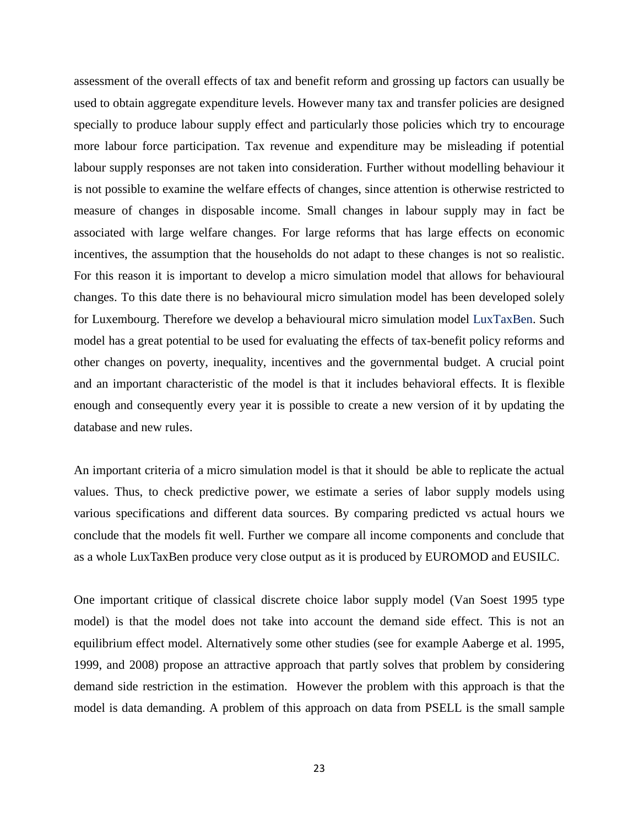assessment of the overall effects of tax and benefit reform and grossing up factors can usually be used to obtain aggregate expenditure levels. However many tax and transfer policies are designed specially to produce labour supply effect and particularly those policies which try to encourage more labour force participation. Tax revenue and expenditure may be misleading if potential labour supply responses are not taken into consideration. Further without modelling behaviour it is not possible to examine the welfare effects of changes, since attention is otherwise restricted to measure of changes in disposable income. Small changes in labour supply may in fact be associated with large welfare changes. For large reforms that has large effects on economic incentives, the assumption that the households do not adapt to these changes is not so realistic. For this reason it is important to develop a micro simulation model that allows for behavioural changes. To this date there is no behavioural micro simulation model has been developed solely for Luxembourg. Therefore we develop a behavioural micro simulation model LuxTaxBen. Such model has a great potential to be used for evaluating the effects of tax-benefit policy reforms and other changes on poverty, inequality, incentives and the governmental budget. A crucial point and an important characteristic of the model is that it includes behavioral effects. It is flexible enough and consequently every year it is possible to create a new version of it by updating the database and new rules.

An important criteria of a micro simulation model is that it should be able to replicate the actual values. Thus, to check predictive power, we estimate a series of labor supply models using various specifications and different data sources. By comparing predicted vs actual hours we conclude that the models fit well. Further we compare all income components and conclude that as a whole LuxTaxBen produce very close output as it is produced by EUROMOD and EUSILC.

One important critique of classical discrete choice labor supply model (Van Soest 1995 type model) is that the model does not take into account the demand side effect. This is not an equilibrium effect model. Alternatively some other studies (see for example Aaberge et al. 1995, 1999, and 2008) propose an attractive approach that partly solves that problem by considering demand side restriction in the estimation. However the problem with this approach is that the model is data demanding. A problem of this approach on data from PSELL is the small sample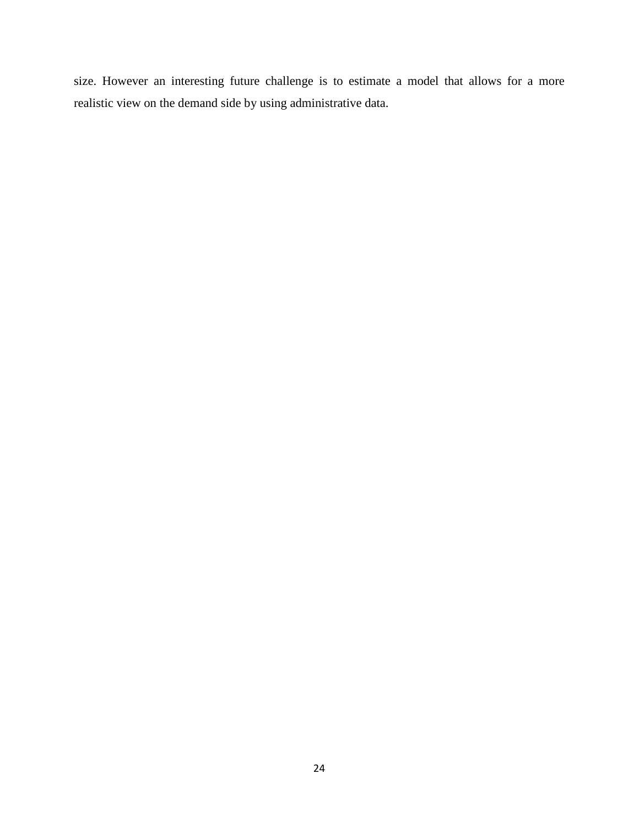size. However an interesting future challenge is to estimate a model that allows for a more realistic view on the demand side by using administrative data.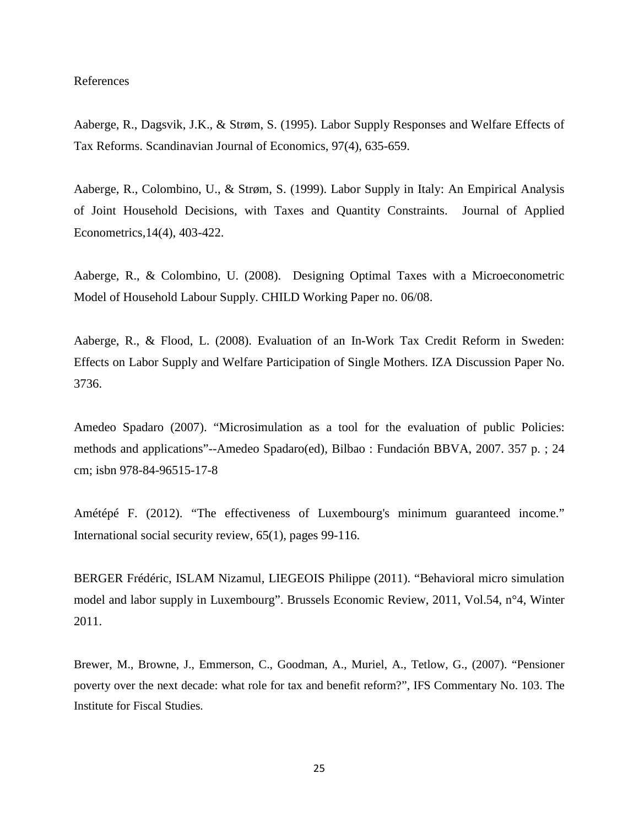#### References

Aaberge, R., Dagsvik, J.K., & Strøm, S. (1995). Labor Supply Responses and Welfare Effects of Tax Reforms. Scandinavian Journal of Economics, 97(4), 635-659.

Aaberge, R., Colombino, U., & Strøm, S. (1999). Labor Supply in Italy: An Empirical Analysis of Joint Household Decisions, with Taxes and Quantity Constraints. Journal of Applied Econometrics,14(4), 403-422.

Aaberge, R., & Colombino, U. (2008). Designing Optimal Taxes with a Microeconometric Model of Household Labour Supply. CHILD Working Paper no. 06/08.

Aaberge, R., & Flood, L. (2008). Evaluation of an In-Work Tax Credit Reform in Sweden: Effects on Labor Supply and Welfare Participation of Single Mothers. IZA Discussion Paper No. 3736.

Amedeo Spadaro (2007). "Microsimulation as a tool for the evaluation of public Policies: methods and applications"--Amedeo Spadaro(ed), Bilbao : Fundación BBVA, 2007. 357 p. ; 24 cm; isbn 978-84-96515-17-8

Amétépé F. (2012). "The effectiveness of Luxembourg's minimum guaranteed income." International social security review, 65(1), pages 99-116.

BERGER Frédéric, ISLAM Nizamul, LIEGEOIS Philippe (2011). "Behavioral micro simulation model and labor supply in Luxembourg". Brussels Economic Review, 2011, Vol.54, n°4, Winter 2011.

Brewer, M., Browne, J., Emmerson, C., Goodman, A., Muriel, A., Tetlow, G., (2007). "Pensioner poverty over the next decade: what role for tax and benefit reform?", IFS Commentary No. 103. The Institute for Fiscal Studies.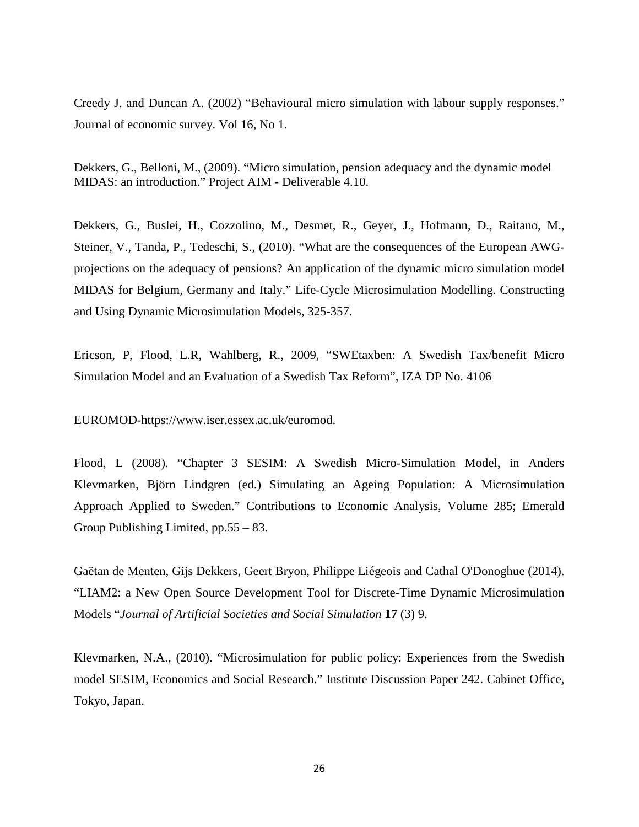Creedy J. and Duncan A. (2002) "Behavioural micro simulation with labour supply responses." Journal of economic survey. Vol 16, No 1.

Dekkers, G., Belloni, M., (2009). "Micro simulation, pension adequacy and the dynamic model MIDAS: an introduction." Project AIM - Deliverable 4.10.

Dekkers, G., Buslei, H., Cozzolino, M., Desmet, R., Geyer, J., Hofmann, D., Raitano, M., Steiner, V., Tanda, P., Tedeschi, S., (2010). "What are the consequences of the European AWGprojections on the adequacy of pensions? An application of the dynamic micro simulation model MIDAS for Belgium, Germany and Italy." Life-Cycle Microsimulation Modelling. Constructing and Using Dynamic Microsimulation Models, 325-357.

Ericson, P, Flood, L.R, Wahlberg, R., 2009, "SWEtaxben: A Swedish Tax/benefit Micro Simulation Model and an Evaluation of a Swedish Tax Reform", IZA DP No. 4106

EUROMOD-https://www.iser.essex.ac.uk/euromod.

[Flood,](http://www.emeraldinsight.com/action/doSearch?ContribStored=Flood%2C+L) L (2008). "Chapter 3 SESIM: A Swedish Micro-Simulation Model, in Anders Klevmarken, Björn Lindgren (ed.) Simulating an Ageing Population: A Microsimulation Approach Applied to Sweden." Contributions to Economic Analysis, Volume 285; Emerald Group Publishing Limited, pp.55 – 83.

[Gaëtan de Menten, Gijs Dekkers, Geert Bryon, Philippe Liégeois and Cathal O'Donoghue](http://jasss.soc.surrey.ac.uk/17/3/9/de_menten.html) (2014). "LIAM2: a New Open Source Development Tool for Discrete-Time Dynamic Microsimulation Models "*Journal of Artificial Societies and Social Simulation* **17** (3) 9.

Klevmarken, N.A., (2010). "Microsimulation for public policy: Experiences from the Swedish model SESIM, Economics and Social Research." Institute Discussion Paper 242. Cabinet Office, Tokyo, Japan.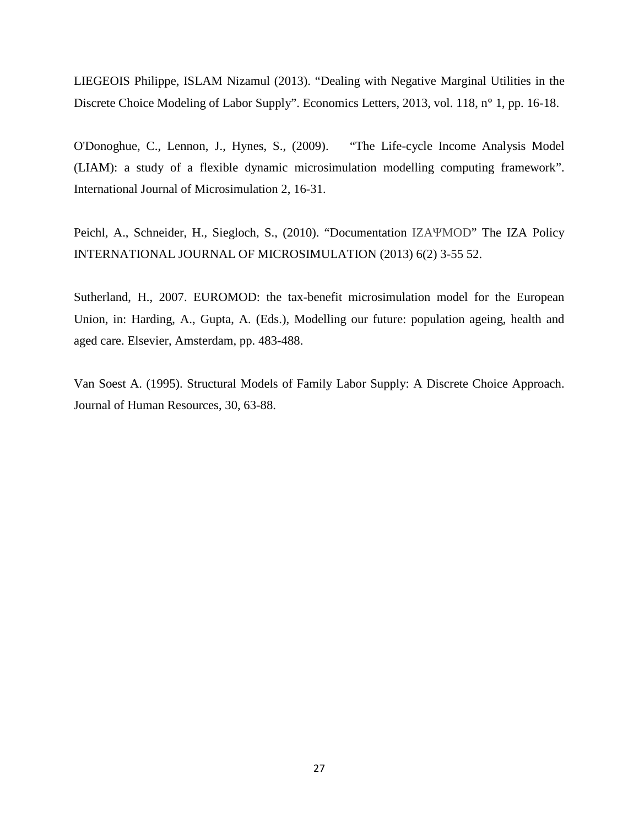LIEGEOIS Philippe, ISLAM Nizamul (2013). "Dealing with Negative Marginal Utilities in the Discrete Choice Modeling of Labor Supply". Economics Letters, 2013, vol. 118, n° 1, pp. 16-18.

O'Donoghue, C., Lennon, J., Hynes, S., (2009). "The Life-cycle Income Analysis Model (LIAM): a study of a flexible dynamic microsimulation modelling computing framework". International Journal of Microsimulation 2, 16-31.

Peichl, A., Schneider, H., Siegloch, S., (2010). "Documentation IZAΨMOD" The IZA Policy INTERNATIONAL JOURNAL OF MICROSIMULATION (2013) 6(2) 3-55 52.

Sutherland, H., 2007. EUROMOD: the tax-benefit microsimulation model for the European Union, in: Harding, A., Gupta, A. (Eds.), Modelling our future: population ageing, health and aged care. Elsevier, Amsterdam, pp. 483-488.

Van Soest A. (1995). Structural Models of Family Labor Supply: A Discrete Choice Approach. Journal of Human Resources, 30, 63-88.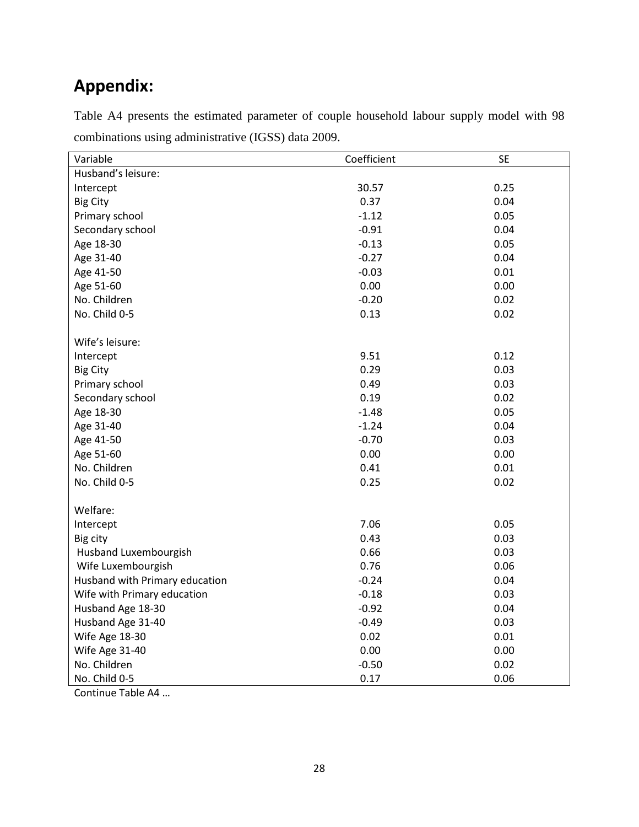# **Appendix:**

| Variable                       | Coefficient | <b>SE</b> |
|--------------------------------|-------------|-----------|
| Husband's leisure:             |             |           |
| Intercept                      | 30.57       | 0.25      |
| <b>Big City</b>                | 0.37        | 0.04      |
| Primary school                 | $-1.12$     | 0.05      |
| Secondary school               | $-0.91$     | 0.04      |
| Age 18-30                      | $-0.13$     | 0.05      |
| Age 31-40                      | $-0.27$     | 0.04      |
| Age 41-50                      | $-0.03$     | 0.01      |
| Age 51-60                      | 0.00        | 0.00      |
| No. Children                   | $-0.20$     | 0.02      |
| No. Child 0-5                  | 0.13        | 0.02      |
|                                |             |           |
| Wife's leisure:                |             |           |
| Intercept                      | 9.51        | 0.12      |
| <b>Big City</b>                | 0.29        | 0.03      |
| Primary school                 | 0.49        | 0.03      |
| Secondary school               | 0.19        | 0.02      |
| Age 18-30                      | $-1.48$     | 0.05      |
| Age 31-40                      | $-1.24$     | 0.04      |
| Age 41-50                      | $-0.70$     | 0.03      |
| Age 51-60                      | 0.00        | 0.00      |
| No. Children                   | 0.41        | 0.01      |
| No. Child 0-5                  | 0.25        | 0.02      |
|                                |             |           |
| Welfare:                       |             |           |
| Intercept                      | 7.06        | 0.05      |
| Big city                       | 0.43        | 0.03      |
| Husband Luxembourgish          | 0.66        | 0.03      |
| Wife Luxembourgish             | 0.76        | 0.06      |
| Husband with Primary education | $-0.24$     | 0.04      |
| Wife with Primary education    | $-0.18$     | 0.03      |
| Husband Age 18-30              | $-0.92$     | 0.04      |
| Husband Age 31-40              | $-0.49$     | 0.03      |
| Wife Age 18-30                 | 0.02        | 0.01      |
| Wife Age 31-40                 | 0.00        | 0.00      |
| No. Children                   | $-0.50$     | 0.02      |
| No. Child 0-5                  | 0.17        | 0.06      |

Table A4 presents the estimated parameter of couple household labour supply model with 98 combinations using administrative (IGSS) data 2009.

Continue Table A4 …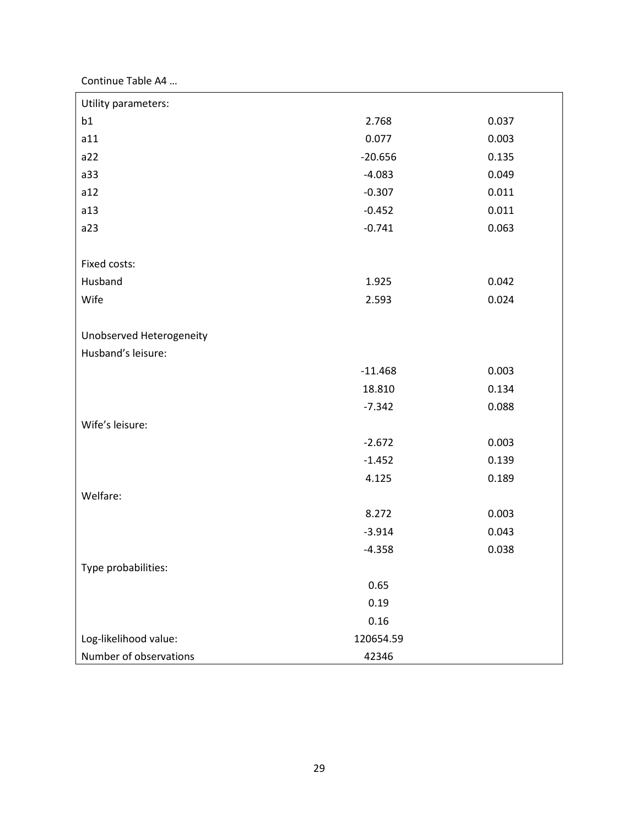Continue Table A4 …

| Utility parameters:      |           |       |
|--------------------------|-----------|-------|
| b1                       | 2.768     | 0.037 |
| a11                      | 0.077     | 0.003 |
| a22                      | $-20.656$ | 0.135 |
| a33                      | $-4.083$  | 0.049 |
| a12                      | $-0.307$  | 0.011 |
| a13                      | $-0.452$  | 0.011 |
| a23                      | $-0.741$  | 0.063 |
|                          |           |       |
| Fixed costs:             |           |       |
| Husband                  | 1.925     | 0.042 |
| Wife                     | 2.593     | 0.024 |
|                          |           |       |
| Unobserved Heterogeneity |           |       |
| Husband's leisure:       |           |       |
|                          | $-11.468$ | 0.003 |
|                          | 18.810    | 0.134 |
|                          | $-7.342$  | 0.088 |
| Wife's leisure:          |           |       |
|                          | $-2.672$  | 0.003 |
|                          | $-1.452$  | 0.139 |
|                          | 4.125     | 0.189 |
| Welfare:                 |           |       |
|                          | 8.272     | 0.003 |
|                          | $-3.914$  | 0.043 |
|                          | $-4.358$  | 0.038 |
| Type probabilities:      |           |       |
|                          | 0.65      |       |
|                          | 0.19      |       |
|                          | 0.16      |       |
| Log-likelihood value:    | 120654.59 |       |
| Number of observations   | 42346     |       |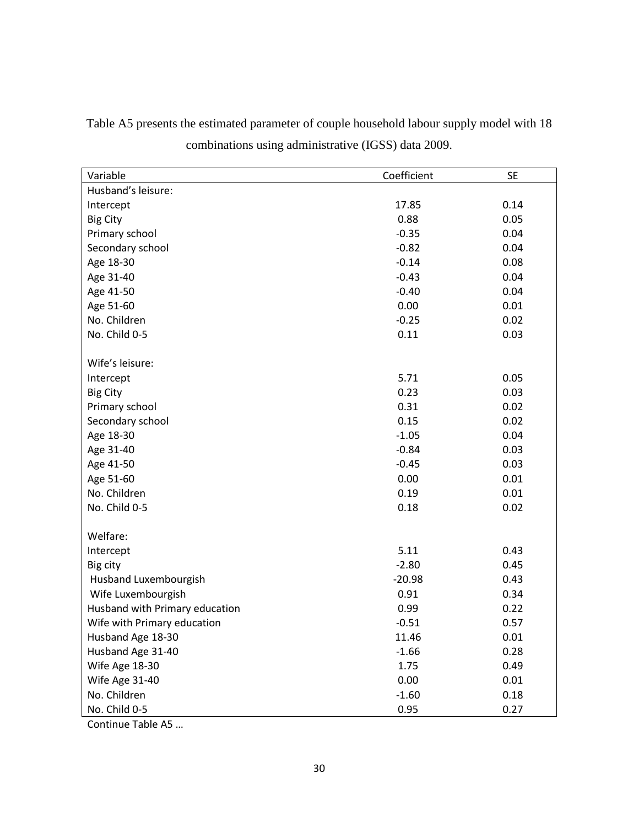| Variable                       | Coefficient | <b>SE</b> |
|--------------------------------|-------------|-----------|
| Husband's leisure:             |             |           |
| Intercept                      | 17.85       | 0.14      |
| <b>Big City</b>                | 0.88        | 0.05      |
| Primary school                 | $-0.35$     | 0.04      |
| Secondary school               | $-0.82$     | 0.04      |
| Age 18-30                      | $-0.14$     | 0.08      |
| Age 31-40                      | $-0.43$     | 0.04      |
| Age 41-50                      | $-0.40$     | 0.04      |
| Age 51-60                      | 0.00        | 0.01      |
| No. Children                   | $-0.25$     | 0.02      |
| No. Child 0-5                  | 0.11        | 0.03      |
|                                |             |           |
| Wife's leisure:                |             |           |
| Intercept                      | 5.71        | 0.05      |
| <b>Big City</b>                | 0.23        | 0.03      |
| Primary school                 | 0.31        | 0.02      |
| Secondary school               | 0.15        | 0.02      |
| Age 18-30                      | $-1.05$     | 0.04      |
| Age 31-40                      | $-0.84$     | 0.03      |
| Age 41-50                      | $-0.45$     | 0.03      |
| Age 51-60                      | 0.00        | 0.01      |
| No. Children                   | 0.19        | 0.01      |
| No. Child 0-5                  | 0.18        | 0.02      |
|                                |             |           |
| Welfare:                       |             |           |
| Intercept                      | 5.11        | 0.43      |
| Big city                       | $-2.80$     | 0.45      |
| Husband Luxembourgish          | $-20.98$    | 0.43      |
| Wife Luxembourgish             | 0.91        | 0.34      |
| Husband with Primary education | 0.99        | 0.22      |
| Wife with Primary education    | $-0.51$     | 0.57      |
| Husband Age 18-30              | 11.46       | 0.01      |
| Husband Age 31-40              | $-1.66$     | 0.28      |
| Wife Age 18-30                 | 1.75        | 0.49      |
| Wife Age 31-40                 | 0.00        | 0.01      |
| No. Children                   | $-1.60$     | 0.18      |
| No. Child 0-5                  | 0.95        | 0.27      |

Table A5 presents the estimated parameter of couple household labour supply model with 18 combinations using administrative (IGSS) data 2009.

Continue Table A5 …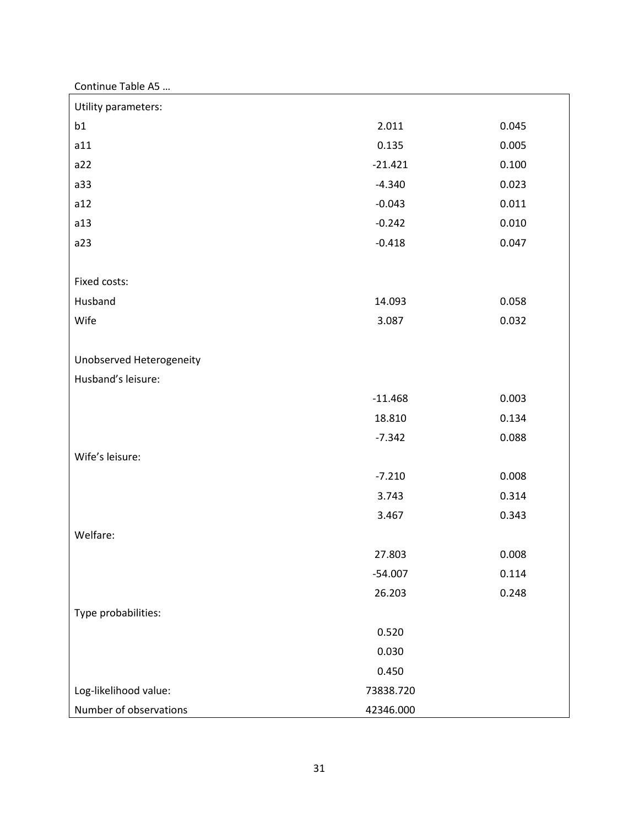Continue Table A5 …

| Utility parameters:      |           |       |
|--------------------------|-----------|-------|
| b1                       | 2.011     | 0.045 |
| a11                      | 0.135     | 0.005 |
| a22                      | $-21.421$ | 0.100 |
| a33                      | $-4.340$  | 0.023 |
| a12                      | $-0.043$  | 0.011 |
| a13                      | $-0.242$  | 0.010 |
| a23                      | $-0.418$  | 0.047 |
|                          |           |       |
| Fixed costs:             |           |       |
| Husband                  | 14.093    | 0.058 |
| Wife                     | 3.087     | 0.032 |
|                          |           |       |
| Unobserved Heterogeneity |           |       |
| Husband's leisure:       |           |       |
|                          | $-11.468$ | 0.003 |
|                          | 18.810    | 0.134 |
|                          | $-7.342$  | 0.088 |
| Wife's leisure:          |           |       |
|                          | $-7.210$  | 0.008 |
|                          | 3.743     | 0.314 |
|                          | 3.467     | 0.343 |
| Welfare:                 |           |       |
|                          | 27.803    | 0.008 |
|                          | $-54.007$ | 0.114 |
|                          | 26.203    | 0.248 |
| Type probabilities:      |           |       |
|                          | 0.520     |       |
|                          | 0.030     |       |
|                          | 0.450     |       |
| Log-likelihood value:    | 73838.720 |       |
| Number of observations   | 42346.000 |       |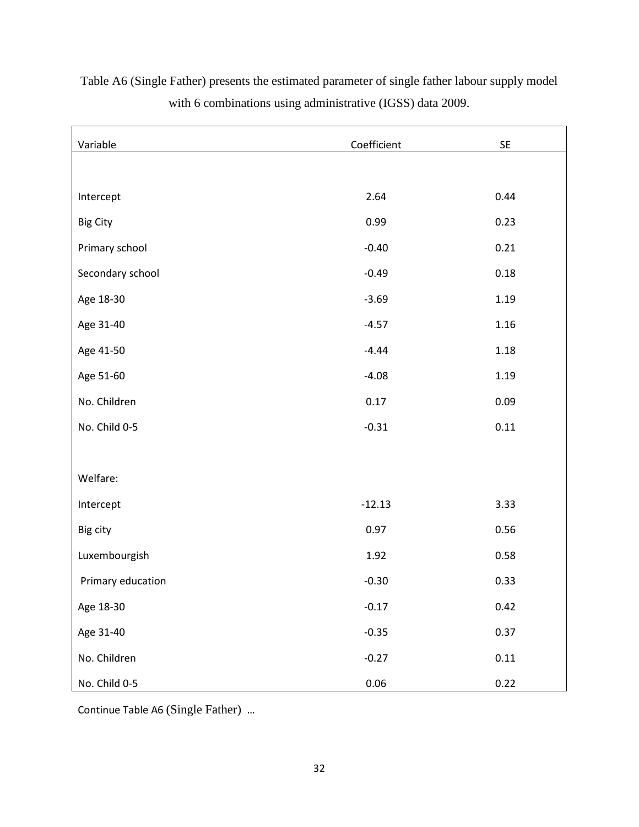| Variable          | Coefficient | <b>SE</b> |
|-------------------|-------------|-----------|
|                   |             |           |
| Intercept         | 2.64        | 0.44      |
| <b>Big City</b>   | 0.99        | 0.23      |
| Primary school    | $-0.40$     | 0.21      |
| Secondary school  | $-0.49$     | 0.18      |
| Age 18-30         | $-3.69$     | 1.19      |
| Age 31-40         | $-4.57$     | 1.16      |
| Age 41-50         | $-4.44$     | 1.18      |
| Age 51-60         | $-4.08$     | 1.19      |
| No. Children      | 0.17        | 0.09      |
| No. Child 0-5     | $-0.31$     | 0.11      |
|                   |             |           |
| Welfare:          |             |           |
| Intercept         | $-12.13$    | 3.33      |
| Big city          | 0.97        | 0.56      |
| Luxembourgish     | 1.92        | 0.58      |
| Primary education | $-0.30$     | 0.33      |
| Age 18-30         | $-0.17$     | 0.42      |
| Age 31-40         | $-0.35$     | 0.37      |
| No. Children      | $-0.27$     | 0.11      |
| No. Child 0-5     | $0.06\,$    | 0.22      |

Table A6 (Single Father) presents the estimated parameter of single father labour supply model with 6 combinations using administrative (IGSS) data 2009.

Continue Table A6 (Single Father) …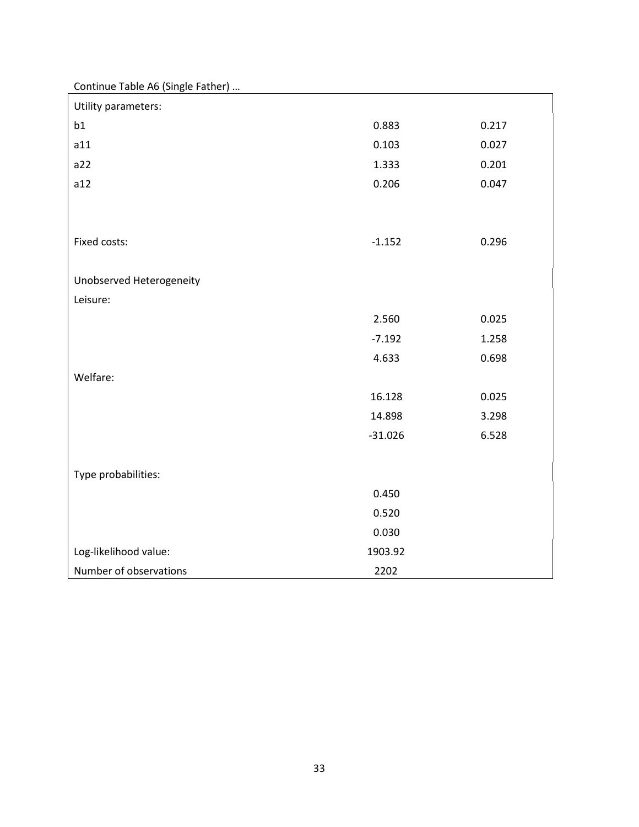| Continue Table Ab (Single Father) |           |       |
|-----------------------------------|-----------|-------|
| Utility parameters:               |           |       |
| b1                                | 0.883     | 0.217 |
| a11                               | 0.103     | 0.027 |
| a22                               | 1.333     | 0.201 |
| a12                               | 0.206     | 0.047 |
|                                   |           |       |
|                                   |           |       |
| Fixed costs:                      | $-1.152$  | 0.296 |
|                                   |           |       |
| Unobserved Heterogeneity          |           |       |
| Leisure:                          |           |       |
|                                   | 2.560     | 0.025 |
|                                   | $-7.192$  | 1.258 |
|                                   | 4.633     | 0.698 |
| Welfare:                          |           |       |
|                                   | 16.128    | 0.025 |
|                                   | 14.898    | 3.298 |
|                                   | $-31.026$ | 6.528 |
|                                   |           |       |
| Type probabilities:               |           |       |
|                                   | 0.450     |       |
|                                   | 0.520     |       |
|                                   | 0.030     |       |
| Log-likelihood value:             | 1903.92   |       |
| Number of observations            | 2202      |       |

Continue Table A6 (Single Father) …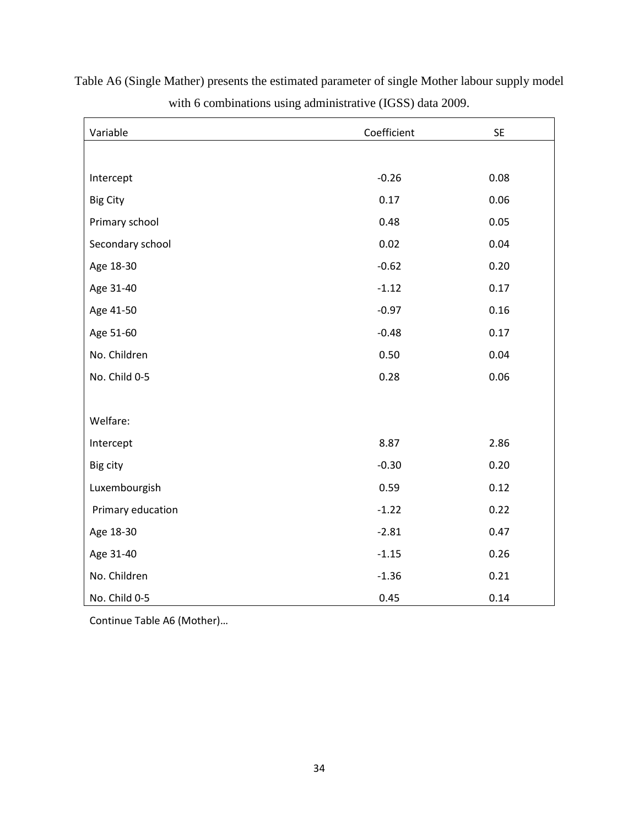| Variable          | Coefficient | <b>SE</b> |
|-------------------|-------------|-----------|
|                   |             |           |
| Intercept         | $-0.26$     | 0.08      |
| <b>Big City</b>   | 0.17        | 0.06      |
| Primary school    | 0.48        | 0.05      |
| Secondary school  | 0.02        | 0.04      |
| Age 18-30         | $-0.62$     | 0.20      |
| Age 31-40         | $-1.12$     | 0.17      |
| Age 41-50         | $-0.97$     | 0.16      |
| Age 51-60         | $-0.48$     | 0.17      |
| No. Children      | 0.50        | 0.04      |
| No. Child 0-5     | 0.28        | 0.06      |
|                   |             |           |
| Welfare:          |             |           |
| Intercept         | 8.87        | 2.86      |
| Big city          | $-0.30$     | 0.20      |
| Luxembourgish     | 0.59        | 0.12      |
| Primary education | $-1.22$     | 0.22      |
| Age 18-30         | $-2.81$     | 0.47      |
| Age 31-40         | $-1.15$     | 0.26      |
| No. Children      | $-1.36$     | 0.21      |
| No. Child 0-5     | 0.45        | 0.14      |

Table A6 (Single Mather) presents the estimated parameter of single Mother labour supply model with 6 combinations using administrative (IGSS) data 2009.

Continue Table A6 (Mother)…